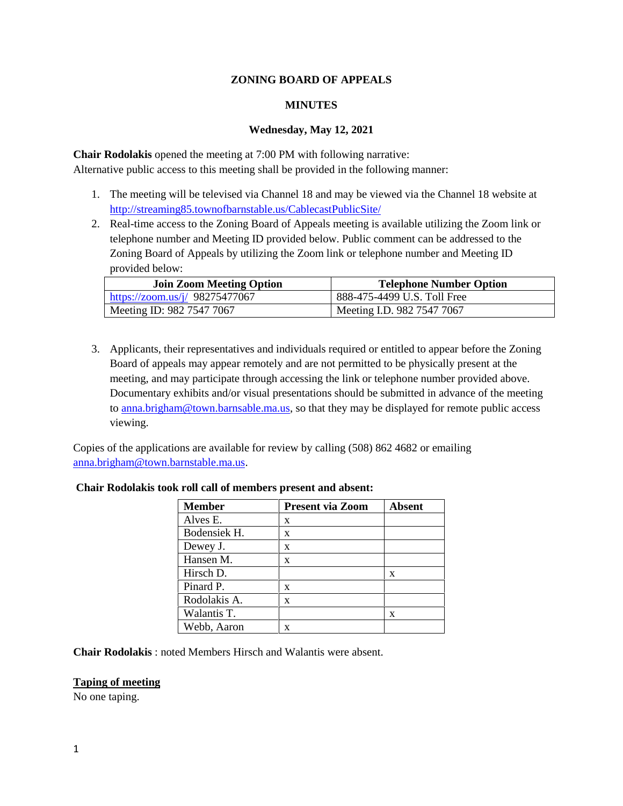### **ZONING BOARD OF APPEALS**

### **MINUTES**

#### **Wednesday, May 12, 2021**

**Chair Rodolakis** opened the meeting at 7:00 PM with following narrative: Alternative public access to this meeting shall be provided in the following manner:

- 1. The meeting will be televised via Channel 18 and may be viewed via the Channel 18 website at http://streaming85.townofbarnstable.us/CablecastPublicSite/
- 2. Real-time access to the Zoning Board of Appeals meeting is available utilizing the Zoom link or telephone number and Meeting ID provided below. Public comment can be addressed to the Zoning Board of Appeals by utilizing the Zoom link or telephone number and Meeting ID provided below:

| <b>Join Zoom Meeting Option</b> | <b>Telephone Number Option</b> |
|---------------------------------|--------------------------------|
| https://zoom.us/j/ 98275477067  | 888-475-4499 U.S. Toll Free    |
| Meeting ID: 982 7547 7067       | Meeting I.D. 982 7547 7067     |

3. Applicants, their representatives and individuals required or entitled to appear before the Zoning Board of appeals may appear remotely and are not permitted to be physically present at the meeting, and may participate through accessing the link or telephone number provided above. Documentary exhibits and/or visual presentations should be submitted in advance of the meeting to anna.brigham@town.barnsable.ma.us, so that they may be displayed for remote public access viewing.

Copies of the applications are available for review by calling (508) 862 4682 or emailing anna.brigham@town.barnstable.ma.us.

| <b>Member</b> | <b>Present via Zoom</b> | <b>Absent</b> |
|---------------|-------------------------|---------------|
| Alves E.      | X                       |               |
| Bodensiek H.  | X                       |               |
| Dewey J.      | $\mathbf x$             |               |
| Hansen M.     | $\mathbf x$             |               |
| Hirsch D.     |                         | X             |
| Pinard P.     | x                       |               |
| Rodolakis A.  | x                       |               |
| Walantis T.   |                         | x             |
| Webb, Aaron   | X                       |               |

### **Chair Rodolakis took roll call of members present and absent:**

**Chair Rodolakis** : noted Members Hirsch and Walantis were absent.

#### **Taping of meeting**

No one taping.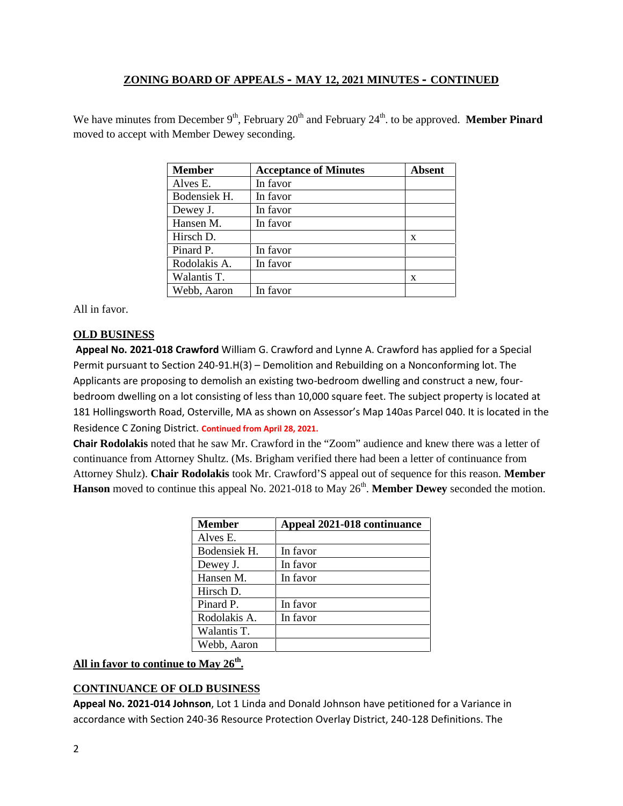We have minutes from December 9<sup>th</sup>, February 20<sup>th</sup> and February 24<sup>th</sup>. to be approved. Member Pinard moved to accept with Member Dewey seconding.

| <b>Member</b> | <b>Acceptance of Minutes</b> | Absent |
|---------------|------------------------------|--------|
| Alves E.      | In favor                     |        |
| Bodensiek H.  | In favor                     |        |
| Dewey J.      | In favor                     |        |
| Hansen M.     | In favor                     |        |
| Hirsch D.     |                              | X      |
| Pinard P.     | In favor                     |        |
| Rodolakis A.  | In favor                     |        |
| Walantis T.   |                              | x      |
| Webb, Aaron   | In favor                     |        |

All in favor.

# **OLD BUSINESS**

**Appeal No. 2021-018 Crawford** William G. Crawford and Lynne A. Crawford has applied for a Special Permit pursuant to Section 240-91.H(3) – Demolition and Rebuilding on a Nonconforming lot. The Applicants are proposing to demolish an existing two-bedroom dwelling and construct a new, four bedroom dwelling on a lot consisting of less than 10,000 square feet. The subject property is located at 181 Hollingsworth Road, Osterville, MA as shown on Assessor's Map 140as Parcel 040. It is located in the Residence C Zoning District. **Continued from April 28, 2021.**

**Chair Rodolakis** noted that he saw Mr. Crawford in the "Zoom" audience and knew there was a letter of continuance from Attorney Shultz. (Ms. Brigham verified there had been a letter of continuance from Attorney Shulz). **Chair Rodolakis** took Mr. Crawford'S appeal out of sequence for this reason. **Member** Hanson moved to continue this appeal No. 2021-018 to May 26<sup>th</sup>. Member Dewey seconded the motion.

| <b>Member</b> | Appeal 2021-018 continuance |
|---------------|-----------------------------|
| Alves E.      |                             |
| Bodensiek H.  | In favor                    |
| Dewey J.      | In favor                    |
| Hansen M.     | In favor                    |
| Hirsch D.     |                             |
| Pinard P.     | In favor                    |
| Rodolakis A.  | In favor                    |
| Walantis T.   |                             |
| Webb, Aaron   |                             |

# **All in favor to continue to May 26th .**

# **CONTINUANCE OF OLD BUSINESS**

**Appeal No. 2021-014 Johnson**, Lot 1 Linda and Donald Johnson have petitioned for a Variance in accordance with Section 240-36 Resource Protection Overlay District, 240-128 Definitions. The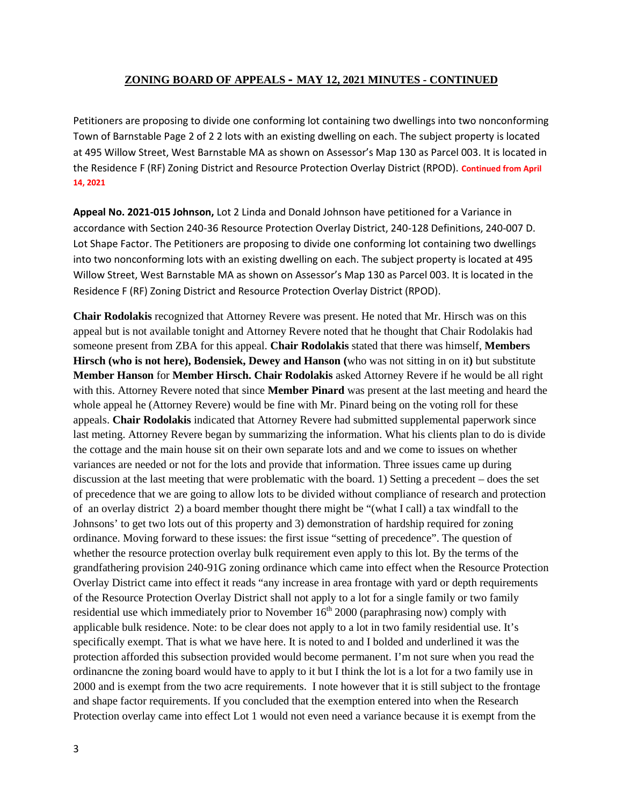Petitioners are proposing to divide one conforming lot containing two dwellings into two nonconforming Town of Barnstable Page 2 of 2 2 lots with an existing dwelling on each. The subject property is located at 495 Willow Street, West Barnstable MA as shown on Assessor's Map 130 as Parcel 003. It is located in the Residence F (RF) Zoning District and Resource Protection Overlay District (RPOD). **Continued from April 14, 2021**

**Appeal No. 2021-015 Johnson,** Lot 2 Linda and Donald Johnson have petitioned for a Variance in accordance with Section 240-36 Resource Protection Overlay District, 240-128 Definitions, 240-007 D. Lot Shape Factor. The Petitioners are proposing to divide one conforming lot containing two dwellings into two nonconforming lots with an existing dwelling on each. The subject property is located at 495 Willow Street, West Barnstable MA as shown on Assessor's Map 130 as Parcel 003. It is located in the Residence F (RF) Zoning District and Resource Protection Overlay District (RPOD).

**Chair Rodolakis** recognized that Attorney Revere was present. He noted that Mr. Hirsch was on this appeal but is not available tonight and Attorney Revere noted that he thought that Chair Rodolakis had someone present from ZBA for this appeal. **Chair Rodolakis** stated that there was himself, **Members Hirsch (who is not here), Bodensiek, Dewey and Hanson (**who was not sitting in on it**)** but substitute **Member Hanson** for **Member Hirsch. Chair Rodolakis** asked Attorney Revere if he would be all right with this. Attorney Revere noted that since **Member Pinard** was present at the last meeting and heard the whole appeal he (Attorney Revere) would be fine with Mr. Pinard being on the voting roll for these appeals. **Chair Rodolakis** indicated that Attorney Revere had submitted supplemental paperwork since last meting. Attorney Revere began by summarizing the information. What his clients plan to do is divide the cottage and the main house sit on their own separate lots and and we come to issues on whether variances are needed or not for the lots and provide that information. Three issues came up during discussion at the last meeting that were problematic with the board. 1) Setting a precedent – does the set of precedence that we are going to allow lots to be divided without compliance of research and protection of an overlay district 2) a board member thought there might be "(what I call) a tax windfall to the Johnsons' to get two lots out of this property and 3) demonstration of hardship required for zoning ordinance. Moving forward to these issues: the first issue "setting of precedence". The question of whether the resource protection overlay bulk requirement even apply to this lot. By the terms of the grandfathering provision 240-91G zoning ordinance which came into effect when the Resource Protection Overlay District came into effect it reads "any increase in area frontage with yard or depth requirements of the Resource Protection Overlay District shall not apply to a lot for a single family or two family residential use which immediately prior to November  $16<sup>th</sup> 2000$  (paraphrasing now) comply with applicable bulk residence. Note: to be clear does not apply to a lot in two family residential use. It's specifically exempt. That is what we have here. It is noted to and I bolded and underlined it was the protection afforded this subsection provided would become permanent. I'm not sure when you read the ordinancne the zoning board would have to apply to it but I think the lot is a lot for a two family use in 2000 and is exempt from the two acre requirements. I note however that it is still subject to the frontage and shape factor requirements. If you concluded that the exemption entered into when the Research Protection overlay came into effect Lot 1 would not even need a variance because it is exempt from the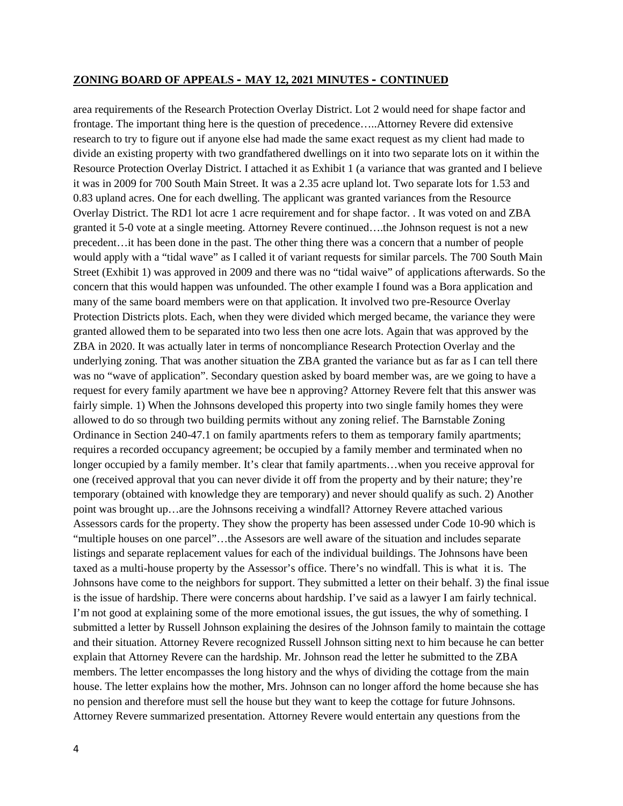area requirements of the Research Protection Overlay District. Lot 2 would need for shape factor and frontage. The important thing here is the question of precedence…..Attorney Revere did extensive research to try to figure out if anyone else had made the same exact request as my client had made to divide an existing property with two grandfathered dwellings on it into two separate lots on it within the Resource Protection Overlay District. I attached it as Exhibit 1 (a variance that was granted and I believe it was in 2009 for 700 South Main Street. It was a 2.35 acre upland lot. Two separate lots for 1.53 and 0.83 upland acres. One for each dwelling. The applicant was granted variances from the Resource Overlay District. The RD1 lot acre 1 acre requirement and for shape factor. . It was voted on and ZBA granted it 5-0 vote at a single meeting. Attorney Revere continued….the Johnson request is not a new precedent…it has been done in the past. The other thing there was a concern that a number of people would apply with a "tidal wave" as I called it of variant requests for similar parcels. The 700 South Main Street (Exhibit 1) was approved in 2009 and there was no "tidal waive" of applications afterwards. So the concern that this would happen was unfounded. The other example I found was a Bora application and many of the same board members were on that application. It involved two pre-Resource Overlay Protection Districts plots. Each, when they were divided which merged became, the variance they were granted allowed them to be separated into two less then one acre lots. Again that was approved by the ZBA in 2020. It was actually later in terms of noncompliance Research Protection Overlay and the underlying zoning. That was another situation the ZBA granted the variance but as far as I can tell there was no "wave of application". Secondary question asked by board member was, are we going to have a request for every family apartment we have bee n approving? Attorney Revere felt that this answer was fairly simple. 1) When the Johnsons developed this property into two single family homes they were allowed to do so through two building permits without any zoning relief. The Barnstable Zoning Ordinance in Section 240-47.1 on family apartments refers to them as temporary family apartments; requires a recorded occupancy agreement; be occupied by a family member and terminated when no longer occupied by a family member. It's clear that family apartments…when you receive approval for one (received approval that you can never divide it off from the property and by their nature; they're temporary (obtained with knowledge they are temporary) and never should qualify as such. 2) Another point was brought up…are the Johnsons receiving a windfall? Attorney Revere attached various Assessors cards for the property. They show the property has been assessed under Code 10-90 which is "multiple houses on one parcel"…the Assesors are well aware of the situation and includes separate listings and separate replacement values for each of the individual buildings. The Johnsons have been taxed as a multi-house property by the Assessor's office. There's no windfall. This is what it is. The Johnsons have come to the neighbors for support. They submitted a letter on their behalf. 3) the final issue is the issue of hardship. There were concerns about hardship. I've said as a lawyer I am fairly technical. I'm not good at explaining some of the more emotional issues, the gut issues, the why of something. I submitted a letter by Russell Johnson explaining the desires of the Johnson family to maintain the cottage and their situation. Attorney Revere recognized Russell Johnson sitting next to him because he can better explain that Attorney Revere can the hardship. Mr. Johnson read the letter he submitted to the ZBA members. The letter encompasses the long history and the whys of dividing the cottage from the main house. The letter explains how the mother, Mrs. Johnson can no longer afford the home because she has no pension and therefore must sell the house but they want to keep the cottage for future Johnsons. Attorney Revere summarized presentation. Attorney Revere would entertain any questions from the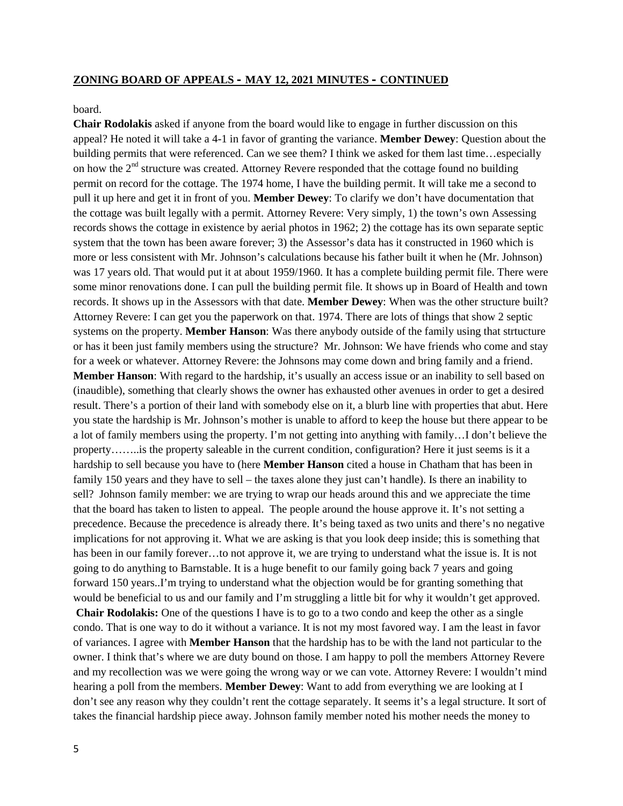board.

**Chair Rodolakis** asked if anyone from the board would like to engage in further discussion on this appeal? He noted it will take a 4-1 in favor of granting the variance. **Member Dewey**: Question about the building permits that were referenced. Can we see them? I think we asked for them last time…especially on how the  $2<sup>nd</sup>$  structure was created. Attorney Revere responded that the cottage found no building permit on record for the cottage. The 1974 home, I have the building permit. It will take me a second to pull it up here and get it in front of you. **Member Dewey**: To clarify we don't have documentation that the cottage was built legally with a permit. Attorney Revere: Very simply, 1) the town's own Assessing records shows the cottage in existence by aerial photos in 1962; 2) the cottage has its own separate septic system that the town has been aware forever; 3) the Assessor's data has it constructed in 1960 which is more or less consistent with Mr. Johnson's calculations because his father built it when he (Mr. Johnson) was 17 years old. That would put it at about 1959/1960. It has a complete building permit file. There were some minor renovations done. I can pull the building permit file. It shows up in Board of Health and town records. It shows up in the Assessors with that date. **Member Dewey**: When was the other structure built? Attorney Revere: I can get you the paperwork on that. 1974. There are lots of things that show 2 septic systems on the property. **Member Hanson**: Was there anybody outside of the family using that strtucture or has it been just family members using the structure? Mr. Johnson: We have friends who come and stay for a week or whatever. Attorney Revere: the Johnsons may come down and bring family and a friend. **Member Hanson**: With regard to the hardship, it's usually an access issue or an inability to sell based on (inaudible), something that clearly shows the owner has exhausted other avenues in order to get a desired result. There's a portion of their land with somebody else on it, a blurb line with properties that abut. Here you state the hardship is Mr. Johnson's mother is unable to afford to keep the house but there appear to be a lot of family members using the property. I'm not getting into anything with family…I don't believe the property……..is the property saleable in the current condition, configuration? Here it just seems is it a hardship to sell because you have to (here **Member Hanson** cited a house in Chatham that has been in family 150 years and they have to sell – the taxes alone they just can't handle). Is there an inability to sell? Johnson family member: we are trying to wrap our heads around this and we appreciate the time that the board has taken to listen to appeal. The people around the house approve it. It's not setting a precedence. Because the precedence is already there. It's being taxed as two units and there's no negative implications for not approving it. What we are asking is that you look deep inside; this is something that has been in our family forever...to not approve it, we are trying to understand what the issue is. It is not going to do anything to Barnstable. It is a huge benefit to our family going back 7 years and going forward 150 years..I'm trying to understand what the objection would be for granting something that would be beneficial to us and our family and I'm struggling a little bit for why it wouldn't get approved.

**Chair Rodolakis:** One of the questions I have is to go to a two condo and keep the other as a single condo. That is one way to do it without a variance. It is not my most favored way. I am the least in favor of variances. I agree with **Member Hanson** that the hardship has to be with the land not particular to the owner. I think that's where we are duty bound on those. I am happy to poll the members Attorney Revere and my recollection was we were going the wrong way or we can vote. Attorney Revere: I wouldn't mind hearing a poll from the members. **Member Dewey**: Want to add from everything we are looking at I don't see any reason why they couldn't rent the cottage separately. It seems it's a legal structure. It sort of takes the financial hardship piece away. Johnson family member noted his mother needs the money to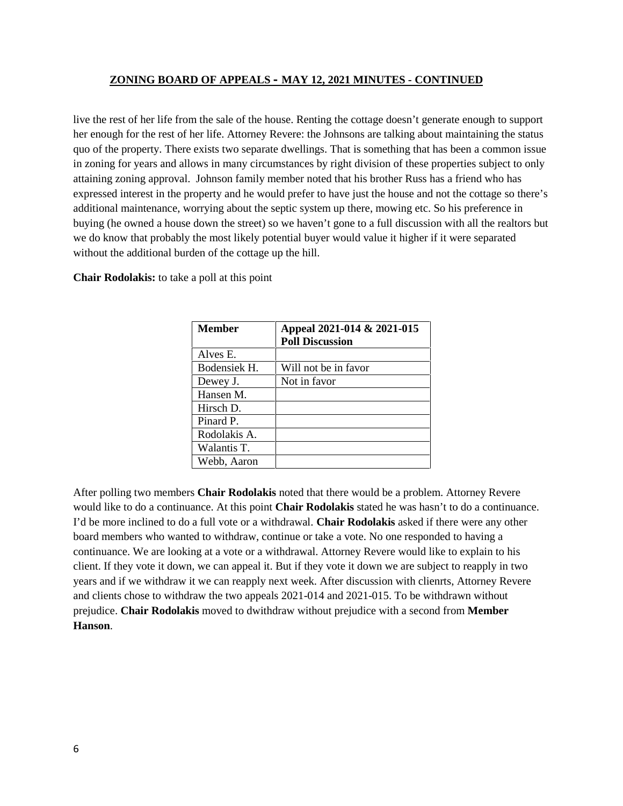live the rest of her life from the sale of the house. Renting the cottage doesn't generate enough to support her enough for the rest of her life. Attorney Revere: the Johnsons are talking about maintaining the status quo of the property. There exists two separate dwellings. That is something that has been a common issue in zoning for years and allows in many circumstances by right division of these properties subject to only attaining zoning approval. Johnson family member noted that his brother Russ has a friend who has expressed interest in the property and he would prefer to have just the house and not the cottage so there's additional maintenance, worrying about the septic system up there, mowing etc. So his preference in buying (he owned a house down the street) so we haven't gone to a full discussion with all the realtors but we do know that probably the most likely potential buyer would value it higher if it were separated without the additional burden of the cottage up the hill.

**Chair Rodolakis:** to take a poll at this point

| <b>Member</b> | Appeal 2021-014 & 2021-015 |  |
|---------------|----------------------------|--|
|               | <b>Poll Discussion</b>     |  |
| Alves E.      |                            |  |
| Bodensiek H.  | Will not be in favor       |  |
| Dewey J.      | Not in favor               |  |
| Hansen M.     |                            |  |
| Hirsch D.     |                            |  |
| Pinard P.     |                            |  |
| Rodolakis A.  |                            |  |
| Walantis T.   |                            |  |
| Webb, Aaron   |                            |  |

After polling two members **Chair Rodolakis** noted that there would be a problem. Attorney Revere would like to do a continuance. At this point **Chair Rodolakis** stated he was hasn't to do a continuance. I'd be more inclined to do a full vote or a withdrawal. **Chair Rodolakis** asked if there were any other board members who wanted to withdraw, continue or take a vote. No one responded to having a continuance. We are looking at a vote or a withdrawal. Attorney Revere would like to explain to his client. If they vote it down, we can appeal it. But if they vote it down we are subject to reapply in two years and if we withdraw it we can reapply next week. After discussion with clienrts, Attorney Revere and clients chose to withdraw the two appeals 2021-014 and 2021-015. To be withdrawn without prejudice. **Chair Rodolakis** moved to dwithdraw without prejudice with a second from **Member Hanson**.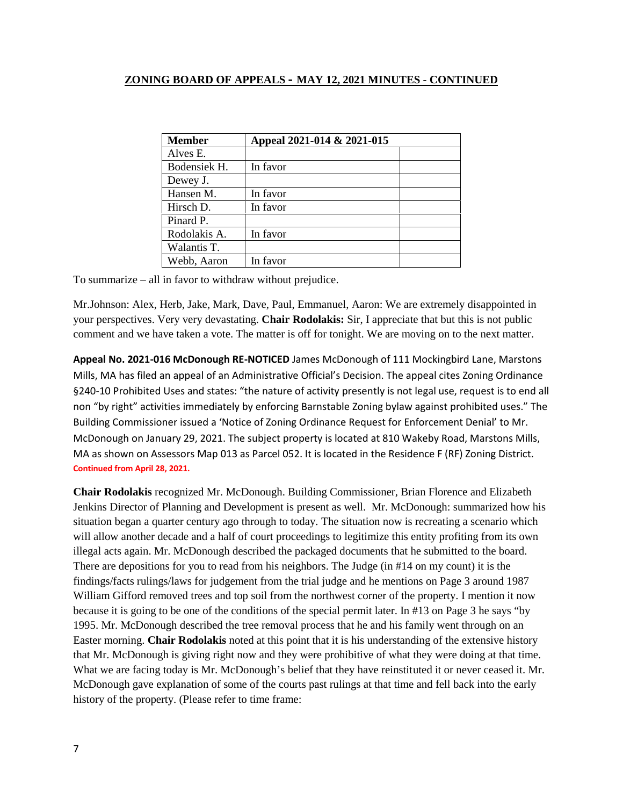| <b>Member</b> | Appeal 2021-014 & 2021-015 |  |
|---------------|----------------------------|--|
| Alves E.      |                            |  |
| Bodensiek H.  | In favor                   |  |
| Dewey J.      |                            |  |
| Hansen M.     | In favor                   |  |
| Hirsch D.     | In favor                   |  |
| Pinard P.     |                            |  |
| Rodolakis A.  | In favor                   |  |
| Walantis T.   |                            |  |
| Webb, Aaron   | In favor                   |  |

To summarize – all in favor to withdraw without prejudice.

Mr.Johnson: Alex, Herb, Jake, Mark, Dave, Paul, Emmanuel, Aaron: We are extremely disappointed in your perspectives. Very very devastating. **Chair Rodolakis:** Sir, I appreciate that but this is not public comment and we have taken a vote. The matter is off for tonight. We are moving on to the next matter.

**Appeal No. 2021-016 McDonough RE-NOTICED** James McDonough of 111 Mockingbird Lane, Marstons Mills, MA has filed an appeal of an Administrative Official's Decision. The appeal cites Zoning Ordinance §240-10 Prohibited Uses and states: "the nature of activity presently is not legal use, request is to end all non "by right" activities immediately by enforcing Barnstable Zoning bylaw against prohibited uses." The Building Commissioner issued a 'Notice of Zoning Ordinance Request for Enforcement Denial' to Mr. McDonough on January 29, 2021. The subject property is located at 810 Wakeby Road, Marstons Mills, MA as shown on Assessors Map 013 as Parcel 052. It is located in the Residence F (RF) Zoning District. **Continued from April 28, 2021.**

**Chair Rodolakis** recognized Mr. McDonough. Building Commissioner, Brian Florence and Elizabeth Jenkins Director of Planning and Development is present as well. Mr. McDonough: summarized how his situation began a quarter century ago through to today. The situation now is recreating a scenario which will allow another decade and a half of court proceedings to legitimize this entity profiting from its own illegal acts again. Mr. McDonough described the packaged documents that he submitted to the board. There are depositions for you to read from his neighbors. The Judge (in #14 on my count) it is the findings/facts rulings/laws for judgement from the trial judge and he mentions on Page 3 around 1987 William Gifford removed trees and top soil from the northwest corner of the property. I mention it now because it is going to be one of the conditions of the special permit later. In #13 on Page 3 he says "by 1995. Mr. McDonough described the tree removal process that he and his family went through on an Easter morning. **Chair Rodolakis** noted at this point that it is his understanding of the extensive history that Mr. McDonough is giving right now and they were prohibitive of what they were doing at that time. What we are facing today is Mr. McDonough's belief that they have reinstituted it or never ceased it. Mr. McDonough gave explanation of some of the courts past rulings at that time and fell back into the early history of the property. (Please refer to time frame: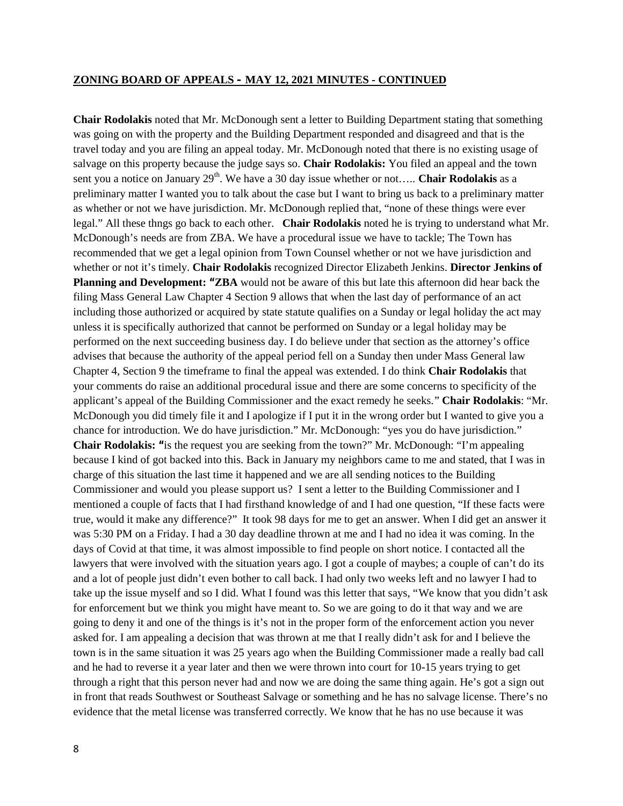**Chair Rodolakis** noted that Mr. McDonough sent a letter to Building Department stating that something was going on with the property and the Building Department responded and disagreed and that is the travel today and you are filing an appeal today. Mr. McDonough noted that there is no existing usage of salvage on this property because the judge says so. **Chair Rodolakis:** You filed an appeal and the town sent you a notice on January 29<sup>th</sup>. We have a 30 day issue whether or not..... **Chair Rodolakis** as a preliminary matter I wanted you to talk about the case but I want to bring us back to a preliminary matter as whether or not we have jurisdiction. Mr. McDonough replied that, "none of these things were ever legal." All these thngs go back to each other. **Chair Rodolakis** noted he is trying to understand what Mr. McDonough's needs are from ZBA. We have a procedural issue we have to tackle; The Town has recommended that we get a legal opinion from Town Counsel whether or not we have jurisdiction and whether or not it's timely. **Chair Rodolakis** recognized Director Elizabeth Jenkins. **Director Jenkins of Planning and Development: "ZBA** would not be aware of this but late this afternoon did hear back the filing Mass General Law Chapter 4 Section 9 allows that when the last day of performance of an act including those authorized or acquired by state statute qualifies on a Sunday or legal holiday the act may unless it is specifically authorized that cannot be performed on Sunday or a legal holiday may be performed on the next succeeding business day. I do believe under that section as the attorney's office advises that because the authority of the appeal period fell on a Sunday then under Mass General law Chapter 4, Section 9 the timeframe to final the appeal was extended. I do think **Chair Rodolakis** that your comments do raise an additional procedural issue and there are some concerns to specificity of the applicant's appeal of the Building Commissioner and the exact remedy he seeks." **Chair Rodolakis**: "Mr. McDonough you did timely file it and I apologize if I put it in the wrong order but I wanted to give you a chance for introduction. We do have jurisdiction." Mr. McDonough: "yes you do have jurisdiction." **Chair Rodolakis: "**is the request you are seeking from the town?" Mr. McDonough: "I'm appealing because I kind of got backed into this. Back in January my neighbors came to me and stated, that I was in charge of this situation the last time it happened and we are all sending notices to the Building Commissioner and would you please support us? I sent a letter to the Building Commissioner and I mentioned a couple of facts that I had firsthand knowledge of and I had one question, "If these facts were true, would it make any difference?" It took 98 days for me to get an answer. When I did get an answer it was 5:30 PM on a Friday. I had a 30 day deadline thrown at me and I had no idea it was coming. In the days of Covid at that time, it was almost impossible to find people on short notice. I contacted all the lawyers that were involved with the situation years ago. I got a couple of maybes; a couple of can't do its and a lot of people just didn't even bother to call back. I had only two weeks left and no lawyer I had to take up the issue myself and so I did. What I found was this letter that says, "We know that you didn't ask for enforcement but we think you might have meant to. So we are going to do it that way and we are going to deny it and one of the things is it's not in the proper form of the enforcement action you never asked for. I am appealing a decision that was thrown at me that I really didn't ask for and I believe the town is in the same situation it was 25 years ago when the Building Commissioner made a really bad call and he had to reverse it a year later and then we were thrown into court for 10-15 years trying to get through a right that this person never had and now we are doing the same thing again. He's got a sign out in front that reads Southwest or Southeast Salvage or something and he has no salvage license. There's no evidence that the metal license was transferred correctly. We know that he has no use because it was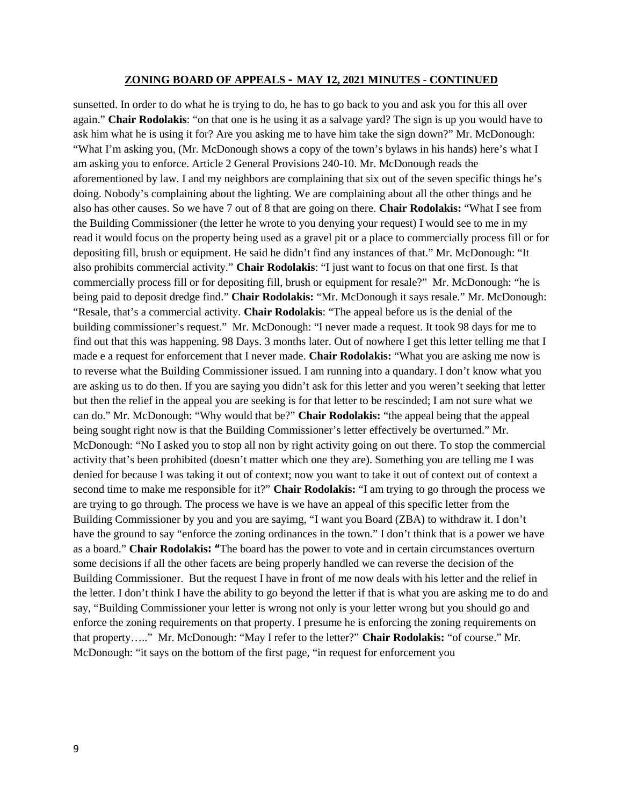sunsetted. In order to do what he is trying to do, he has to go back to you and ask you for this all over again." **Chair Rodolakis**: "on that one is he using it as a salvage yard? The sign is up you would have to ask him what he is using it for? Are you asking me to have him take the sign down?" Mr. McDonough: "What I'm asking you, (Mr. McDonough shows a copy of the town's bylaws in his hands) here's what I am asking you to enforce. Article 2 General Provisions 240-10. Mr. McDonough reads the aforementioned by law. I and my neighbors are complaining that six out of the seven specific things he's doing. Nobody's complaining about the lighting. We are complaining about all the other things and he also has other causes. So we have 7 out of 8 that are going on there. **Chair Rodolakis:** "What I see from the Building Commissioner (the letter he wrote to you denying your request) I would see to me in my read it would focus on the property being used as a gravel pit or a place to commercially process fill or for depositing fill, brush or equipment. He said he didn't find any instances of that." Mr. McDonough: "It also prohibits commercial activity." **Chair Rodolakis**: "I just want to focus on that one first. Is that commercially process fill or for depositing fill, brush or equipment for resale?" Mr. McDonough: "he is being paid to deposit dredge find." **Chair Rodolakis:** "Mr. McDonough it says resale." Mr. McDonough: "Resale, that's a commercial activity. **Chair Rodolakis**: "The appeal before us is the denial of the building commissioner's request." Mr. McDonough: "I never made a request. It took 98 days for me to find out that this was happening. 98 Days. 3 months later. Out of nowhere I get this letter telling me that I made e a request for enforcement that I never made. **Chair Rodolakis:** "What you are asking me now is to reverse what the Building Commissioner issued. I am running into a quandary. I don't know what you are asking us to do then. If you are saying you didn't ask for this letter and you weren't seeking that letter but then the relief in the appeal you are seeking is for that letter to be rescinded; I am not sure what we can do." Mr. McDonough: "Why would that be?" **Chair Rodolakis:** "the appeal being that the appeal being sought right now is that the Building Commissioner's letter effectively be overturned." Mr. McDonough: "No I asked you to stop all non by right activity going on out there. To stop the commercial activity that's been prohibited (doesn't matter which one they are). Something you are telling me I was denied for because I was taking it out of context; now you want to take it out of context out of context a second time to make me responsible for it?" **Chair Rodolakis:** "I am trying to go through the process we are trying to go through. The process we have is we have an appeal of this specific letter from the Building Commissioner by you and you are sayimg, "I want you Board (ZBA) to withdraw it. I don't have the ground to say "enforce the zoning ordinances in the town." I don't think that is a power we have as a board." **Chair Rodolakis: "**The board has the power to vote and in certain circumstances overturn some decisions if all the other facets are being properly handled we can reverse the decision of the Building Commissioner. But the request I have in front of me now deals with his letter and the relief in the letter. I don't think I have the ability to go beyond the letter if that is what you are asking me to do and say, "Building Commissioner your letter is wrong not only is your letter wrong but you should go and enforce the zoning requirements on that property. I presume he is enforcing the zoning requirements on that property….." Mr. McDonough: "May I refer to the letter?" **Chair Rodolakis:** "of course." Mr. McDonough: "it says on the bottom of the first page, "in request for enforcement you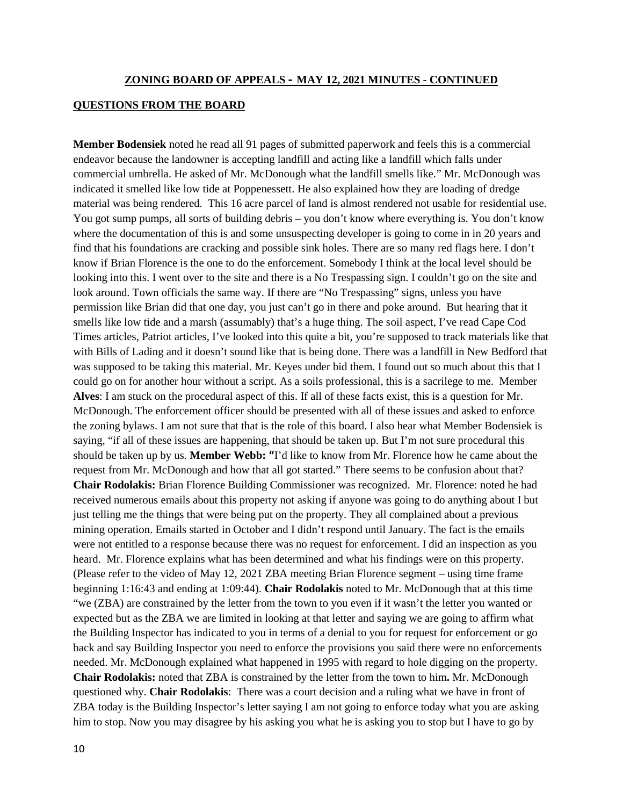### **QUESTIONS FROM THE BOARD**

**Member Bodensiek** noted he read all 91 pages of submitted paperwork and feels this is a commercial endeavor because the landowner is accepting landfill and acting like a landfill which falls under commercial umbrella. He asked of Mr. McDonough what the landfill smells like." Mr. McDonough was indicated it smelled like low tide at Poppenessett. He also explained how they are loading of dredge material was being rendered. This 16 acre parcel of land is almost rendered not usable for residential use. You got sump pumps, all sorts of building debris – you don't know where everything is. You don't know where the documentation of this is and some unsuspecting developer is going to come in in 20 years and find that his foundations are cracking and possible sink holes. There are so many red flags here. I don't know if Brian Florence is the one to do the enforcement. Somebody I think at the local level should be looking into this. I went over to the site and there is a No Trespassing sign. I couldn't go on the site and look around. Town officials the same way. If there are "No Trespassing" signs, unless you have permission like Brian did that one day, you just can't go in there and poke around. But hearing that it smells like low tide and a marsh (assumably) that's a huge thing. The soil aspect, I've read Cape Cod Times articles, Patriot articles, I've looked into this quite a bit, you're supposed to track materials like that with Bills of Lading and it doesn't sound like that is being done. There was a landfill in New Bedford that was supposed to be taking this material. Mr. Keyes under bid them. I found out so much about this that I could go on for another hour without a script. As a soils professional, this is a sacrilege to me. Member **Alves**: I am stuck on the procedural aspect of this. If all of these facts exist, this is a question for Mr. McDonough. The enforcement officer should be presented with all of these issues and asked to enforce the zoning bylaws. I am not sure that that is the role of this board. I also hear what Member Bodensiek is saying, "if all of these issues are happening, that should be taken up. But I'm not sure procedural this should be taken up by us. **Member Webb: "**I'd like to know from Mr. Florence how he came about the request from Mr. McDonough and how that all got started." There seems to be confusion about that? **Chair Rodolakis:** Brian Florence Building Commissioner was recognized. Mr. Florence: noted he had received numerous emails about this property not asking if anyone was going to do anything about I but just telling me the things that were being put on the property. They all complained about a previous mining operation. Emails started in October and I didn't respond until January. The fact is the emails were not entitled to a response because there was no request for enforcement. I did an inspection as you heard. Mr. Florence explains what has been determined and what his findings were on this property. (Please refer to the video of May 12, 2021 ZBA meeting Brian Florence segment – using time frame beginning 1:16:43 and ending at 1:09:44). **Chair Rodolakis** noted to Mr. McDonough that at this time "we (ZBA) are constrained by the letter from the town to you even if it wasn't the letter you wanted or expected but as the ZBA we are limited in looking at that letter and saying we are going to affirm what the Building Inspector has indicated to you in terms of a denial to you for request for enforcement or go back and say Building Inspector you need to enforce the provisions you said there were no enforcements needed. Mr. McDonough explained what happened in 1995 with regard to hole digging on the property. **Chair Rodolakis:** noted that ZBA is constrained by the letter from the town to him**.** Mr. McDonough questioned why. **Chair Rodolakis**: There was a court decision and a ruling what we have in front of ZBA today is the Building Inspector's letter saying I am not going to enforce today what you are asking him to stop. Now you may disagree by his asking you what he is asking you to stop but I have to go by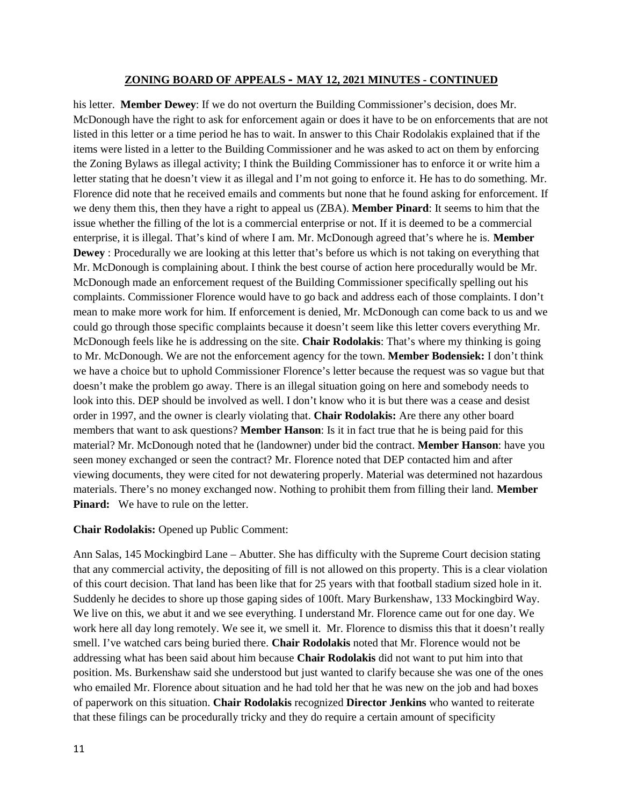his letter. **Member Dewey**: If we do not overturn the Building Commissioner's decision, does Mr. McDonough have the right to ask for enforcement again or does it have to be on enforcements that are not listed in this letter or a time period he has to wait. In answer to this Chair Rodolakis explained that if the items were listed in a letter to the Building Commissioner and he was asked to act on them by enforcing the Zoning Bylaws as illegal activity; I think the Building Commissioner has to enforce it or write him a letter stating that he doesn't view it as illegal and I'm not going to enforce it. He has to do something. Mr. Florence did note that he received emails and comments but none that he found asking for enforcement. If we deny them this, then they have a right to appeal us (ZBA). **Member Pinard**: It seems to him that the issue whether the filling of the lot is a commercial enterprise or not. If it is deemed to be a commercial enterprise, it is illegal. That's kind of where I am. Mr. McDonough agreed that's where he is. **Member Dewey** : Procedurally we are looking at this letter that's before us which is not taking on everything that Mr. McDonough is complaining about. I think the best course of action here procedurally would be Mr. McDonough made an enforcement request of the Building Commissioner specifically spelling out his complaints. Commissioner Florence would have to go back and address each of those complaints. I don't mean to make more work for him. If enforcement is denied, Mr. McDonough can come back to us and we could go through those specific complaints because it doesn't seem like this letter covers everything Mr. McDonough feels like he is addressing on the site. **Chair Rodolakis**: That's where my thinking is going to Mr. McDonough. We are not the enforcement agency for the town. **Member Bodensiek:** I don't think we have a choice but to uphold Commissioner Florence's letter because the request was so vague but that doesn't make the problem go away. There is an illegal situation going on here and somebody needs to look into this. DEP should be involved as well. I don't know who it is but there was a cease and desist order in 1997, and the owner is clearly violating that. **Chair Rodolakis:** Are there any other board members that want to ask questions? **Member Hanson**: Is it in fact true that he is being paid for this material? Mr. McDonough noted that he (landowner) under bid the contract. **Member Hanson**: have you seen money exchanged or seen the contract? Mr. Florence noted that DEP contacted him and after viewing documents, they were cited for not dewatering properly. Material was determined not hazardous materials. There's no money exchanged now. Nothing to prohibit them from filling their land. **Member Pinard:** We have to rule on the letter.

#### **Chair Rodolakis:** Opened up Public Comment:

Ann Salas, 145 Mockingbird Lane – Abutter. She has difficulty with the Supreme Court decision stating that any commercial activity, the depositing of fill is not allowed on this property. This is a clear violation of this court decision. That land has been like that for 25 years with that football stadium sized hole in it. Suddenly he decides to shore up those gaping sides of 100ft. Mary Burkenshaw, 133 Mockingbird Way. We live on this, we abut it and we see everything. I understand Mr. Florence came out for one day. We work here all day long remotely. We see it, we smell it. Mr. Florence to dismiss this that it doesn't really smell. I've watched cars being buried there. **Chair Rodolakis** noted that Mr. Florence would not be addressing what has been said about him because **Chair Rodolakis** did not want to put him into that position. Ms. Burkenshaw said she understood but just wanted to clarify because she was one of the ones who emailed Mr. Florence about situation and he had told her that he was new on the job and had boxes of paperwork on this situation. **Chair Rodolakis** recognized **Director Jenkins** who wanted to reiterate that these filings can be procedurally tricky and they do require a certain amount of specificity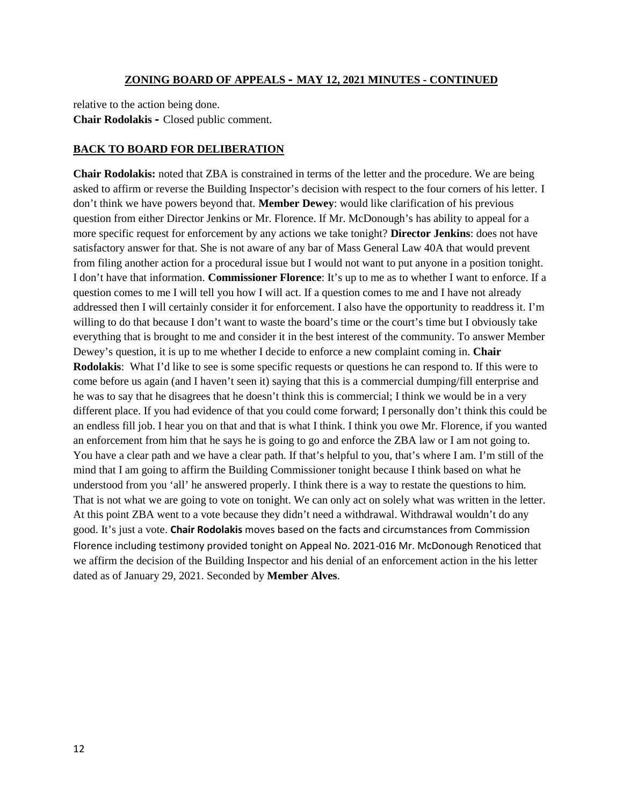relative to the action being done. **Chair Rodolakis –** Closed public comment.

#### **BACK TO BOARD FOR DELIBERATION**

**Chair Rodolakis:** noted that ZBA is constrained in terms of the letter and the procedure. We are being asked to affirm or reverse the Building Inspector's decision with respect to the four corners of his letter. I don't think we have powers beyond that. **Member Dewey**: would like clarification of his previous question from either Director Jenkins or Mr. Florence. If Mr. McDonough's has ability to appeal for a more specific request for enforcement by any actions we take tonight? **Director Jenkins**: does not have satisfactory answer for that. She is not aware of any bar of Mass General Law 40A that would prevent from filing another action for a procedural issue but I would not want to put anyone in a position tonight. I don't have that information. **Commissioner Florence**: It's up to me as to whether I want to enforce. If a question comes to me I will tell you how I will act. If a question comes to me and I have not already addressed then I will certainly consider it for enforcement. I also have the opportunity to readdress it. I'm willing to do that because I don't want to waste the board's time or the court's time but I obviously take everything that is brought to me and consider it in the best interest of the community. To answer Member Dewey's question, it is up to me whether I decide to enforce a new complaint coming in. **Chair Rodolakis**: What I'd like to see is some specific requests or questions he can respond to. If this were to come before us again (and I haven't seen it) saying that this is a commercial dumping/fill enterprise and he was to say that he disagrees that he doesn't think this is commercial; I think we would be in a very different place. If you had evidence of that you could come forward; I personally don't think this could be an endless fill job. I hear you on that and that is what I think. I think you owe Mr. Florence, if you wanted an enforcement from him that he says he is going to go and enforce the ZBA law or I am not going to. You have a clear path and we have a clear path. If that's helpful to you, that's where I am. I'm still of the mind that I am going to affirm the Building Commissioner tonight because I think based on what he understood from you 'all' he answered properly. I think there is a way to restate the questions to him. That is not what we are going to vote on tonight. We can only act on solely what was written in the letter. At this point ZBA went to a vote because they didn't need a withdrawal. Withdrawal wouldn't do any good. It's just a vote. **Chair Rodolakis** moves based on the facts and circumstances from Commission Florence including testimony provided tonight on Appeal No. 2021-016 Mr. McDonough Renoticed that we affirm the decision of the Building Inspector and his denial of an enforcement action in the his letter dated as of January 29, 2021. Seconded by **Member Alves**.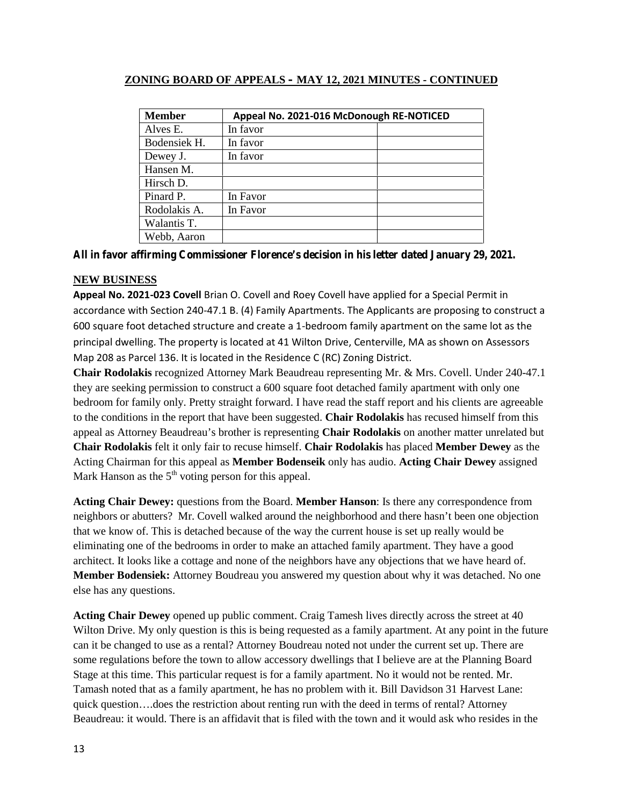| <b>Member</b> | Appeal No. 2021-016 McDonough RE-NOTICED |  |
|---------------|------------------------------------------|--|
| Alves E.      | In favor                                 |  |
| Bodensiek H.  | In favor                                 |  |
| Dewey J.      | In favor                                 |  |
| Hansen M.     |                                          |  |
| Hirsch D.     |                                          |  |
| Pinard P.     | In Favor                                 |  |
| Rodolakis A.  | In Favor                                 |  |
| Walantis T.   |                                          |  |
| Webb, Aaron   |                                          |  |

**All in favor affirming Commissioner Florence's decision in his letter dated January 29, 2021.**

# **NEW BUSINESS**

**Appeal No. 2021-023 Covell** Brian O. Covell and Roey Covell have applied for a Special Permit in accordance with Section 240-47.1 B. (4) Family Apartments. The Applicants are proposing to construct a 600 square foot detached structure and create a 1-bedroom family apartment on the same lot as the principal dwelling. The property is located at 41 Wilton Drive, Centerville, MA as shown on Assessors Map 208 as Parcel 136. It is located in the Residence C (RC) Zoning District.

**Chair Rodolakis** recognized Attorney Mark Beaudreau representing Mr. & Mrs. Covell. Under 240-47.1 they are seeking permission to construct a 600 square foot detached family apartment with only one bedroom for family only. Pretty straight forward. I have read the staff report and his clients are agreeable to the conditions in the report that have been suggested. **Chair Rodolakis** has recused himself from this appeal as Attorney Beaudreau's brother is representing **Chair Rodolakis** on another matter unrelated but **Chair Rodolakis** felt it only fair to recuse himself. **Chair Rodolakis** has placed **Member Dewey** as the Acting Chairman for this appeal as **Member Bodenseik** only has audio. **Acting Chair Dewey** assigned Mark Hanson as the  $5<sup>th</sup>$  voting person for this appeal.

**Acting Chair Dewey:** questions from the Board. **Member Hanson**: Is there any correspondence from neighbors or abutters? Mr. Covell walked around the neighborhood and there hasn't been one objection that we know of. This is detached because of the way the current house is set up really would be eliminating one of the bedrooms in order to make an attached family apartment. They have a good architect. It looks like a cottage and none of the neighbors have any objections that we have heard of. **Member Bodensiek:** Attorney Boudreau you answered my question about why it was detached. No one else has any questions.

**Acting Chair Dewey** opened up public comment. Craig Tamesh lives directly across the street at 40 Wilton Drive. My only question is this is being requested as a family apartment. At any point in the future can it be changed to use as a rental? Attorney Boudreau noted not under the current set up. There are some regulations before the town to allow accessory dwellings that I believe are at the Planning Board Stage at this time. This particular request is for a family apartment. No it would not be rented. Mr. Tamash noted that as a family apartment, he has no problem with it. Bill Davidson 31 Harvest Lane: quick question….does the restriction about renting run with the deed in terms of rental? Attorney Beaudreau: it would. There is an affidavit that is filed with the town and it would ask who resides in the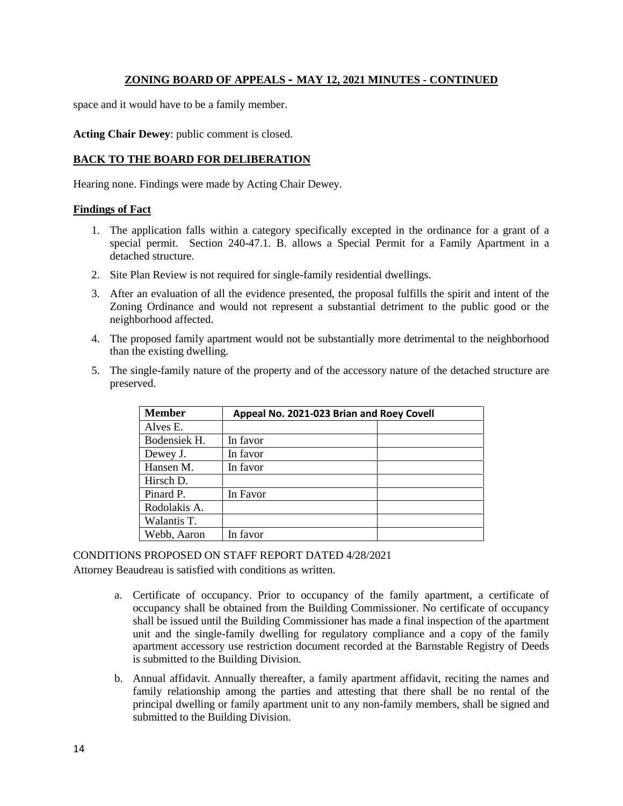space and it would have to be a family member.

**Acting Chair Dewey**: public comment is closed.

# **BACK TO THE BOARD FOR DELIBERATION**

Hearing none. Findings were made by Acting Chair Dewey.

#### **Findings of Fact**

- 1. The application falls within a category specifically excepted in the ordinance for a grant of a special permit. Section 240-47.1. B. allows a Special Permit for a Family Apartment in a detached structure.
- 2. Site Plan Review is not required for single-family residential dwellings.
- 3. After an evaluation of all the evidence presented, the proposal fulfills the spirit and intent of the Zoning Ordinance and would not represent a substantial detriment to the public good or the neighborhood affected.
- 4. The proposed family apartment would not be substantially more detrimental to the neighborhood than the existing dwelling.
- 5. The single-family nature of the property and of the accessory nature of the detached structure are preserved.

| <b>Member</b> | Appeal No. 2021-023 Brian and Roey Covell |  |
|---------------|-------------------------------------------|--|
| Alves E.      |                                           |  |
| Bodensiek H.  | In favor                                  |  |
| Dewey J.      | In favor                                  |  |
| Hansen M.     | In favor                                  |  |
| Hirsch D.     |                                           |  |
| Pinard P.     | In Favor                                  |  |
| Rodolakis A.  |                                           |  |
| Walantis T.   |                                           |  |
| Webb, Aaron   | In favor                                  |  |

CONDITIONS PROPOSED ON STAFF REPORT DATED 4/28/2021

Attorney Beaudreau is satisfied with conditions as written.

- a. Certificate of occupancy. Prior to occupancy of the family apartment, a certificate of occupancy shall be obtained from the Building Commissioner. No certificate of occupancy shall be issued until the Building Commissioner has made a final inspection of the apartment unit and the single-family dwelling for regulatory compliance and a copy of the family apartment accessory use restriction document recorded at the Barnstable Registry of Deeds is submitted to the Building Division.
- b. Annual affidavit. Annually thereafter, a family apartment affidavit, reciting the names and family relationship among the parties and attesting that there shall be no rental of the principal dwelling or family apartment unit to any non-family members, shall be signed and submitted to the Building Division.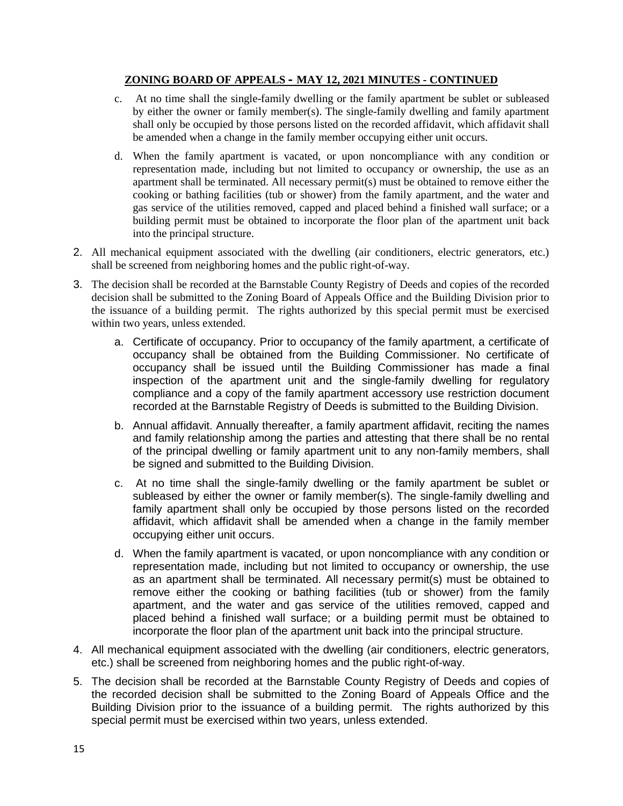- c. At no time shall the single-family dwelling or the family apartment be sublet or subleased by either the owner or family member(s). The single-family dwelling and family apartment shall only be occupied by those persons listed on the recorded affidavit, which affidavit shall be amended when a change in the family member occupying either unit occurs.
- d. When the family apartment is vacated, or upon noncompliance with any condition or representation made, including but not limited to occupancy or ownership, the use as an apartment shall be terminated. All necessary permit(s) must be obtained to remove either the cooking or bathing facilities (tub or shower) from the family apartment, and the water and gas service of the utilities removed, capped and placed behind a finished wall surface; or a building permit must be obtained to incorporate the floor plan of the apartment unit back into the principal structure.
- 2. All mechanical equipment associated with the dwelling (air conditioners, electric generators, etc.) shall be screened from neighboring homes and the public right-of-way.
- 3. The decision shall be recorded at the Barnstable County Registry of Deeds and copies of the recorded decision shall be submitted to the Zoning Board of Appeals Office and the Building Division prior to the issuance of a building permit. The rights authorized by this special permit must be exercised within two years, unless extended.
	- a. Certificate of occupancy. Prior to occupancy of the family apartment, a certificate of occupancy shall be obtained from the Building Commissioner. No certificate of occupancy shall be issued until the Building Commissioner has made a final inspection of the apartment unit and the single-family dwelling for regulatory compliance and a copy of the family apartment accessory use restriction document recorded at the Barnstable Registry of Deeds is submitted to the Building Division.
	- b. Annual affidavit. Annually thereafter, a family apartment affidavit, reciting the names and family relationship among the parties and attesting that there shall be no rental of the principal dwelling or family apartment unit to any non-family members, shall be signed and submitted to the Building Division.
	- c. At no time shall the single-family dwelling or the family apartment be sublet or subleased by either the owner or family member(s). The single-family dwelling and family apartment shall only be occupied by those persons listed on the recorded affidavit, which affidavit shall be amended when a change in the family member occupying either unit occurs.
	- d. When the family apartment is vacated, or upon noncompliance with any condition or representation made, including but not limited to occupancy or ownership, the use as an apartment shall be terminated. All necessary permit(s) must be obtained to remove either the cooking or bathing facilities (tub or shower) from the family apartment, and the water and gas service of the utilities removed, capped and placed behind a finished wall surface; or a building permit must be obtained to incorporate the floor plan of the apartment unit back into the principal structure.
- 4. All mechanical equipment associated with the dwelling (air conditioners, electric generators, etc.) shall be screened from neighboring homes and the public right-of-way.
- 5. The decision shall be recorded at the Barnstable County Registry of Deeds and copies of the recorded decision shall be submitted to the Zoning Board of Appeals Office and the Building Division prior to the issuance of a building permit. The rights authorized by this special permit must be exercised within two years, unless extended.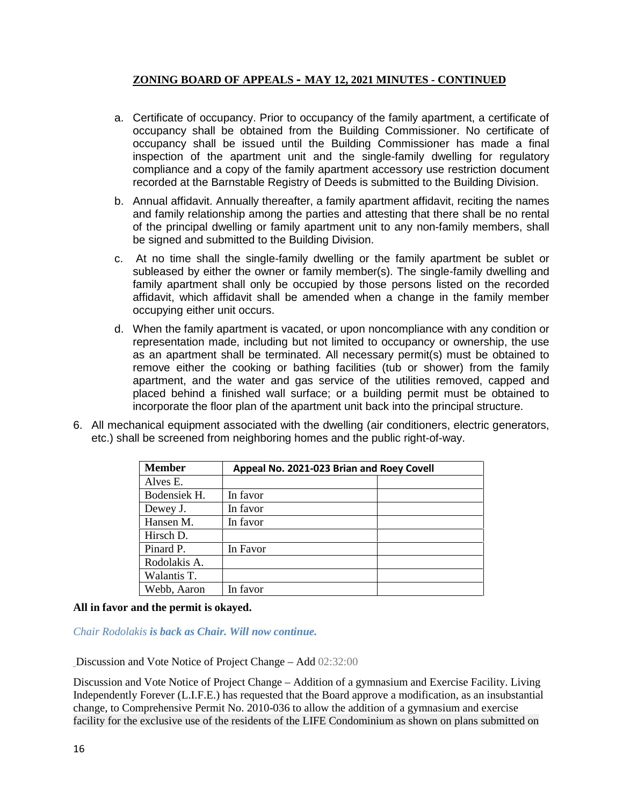- a. Certificate of occupancy. Prior to occupancy of the family apartment, a certificate of occupancy shall be obtained from the Building Commissioner. No certificate of occupancy shall be issued until the Building Commissioner has made a final inspection of the apartment unit and the single-family dwelling for regulatory compliance and a copy of the family apartment accessory use restriction document recorded at the Barnstable Registry of Deeds is submitted to the Building Division.
- b. Annual affidavit. Annually thereafter, a family apartment affidavit, reciting the names and family relationship among the parties and attesting that there shall be no rental of the principal dwelling or family apartment unit to any non-family members, shall be signed and submitted to the Building Division.
- c. At no time shall the single-family dwelling or the family apartment be sublet or subleased by either the owner or family member(s). The single-family dwelling and family apartment shall only be occupied by those persons listed on the recorded affidavit, which affidavit shall be amended when a change in the family member occupying either unit occurs.
- d. When the family apartment is vacated, or upon noncompliance with any condition or representation made, including but not limited to occupancy or ownership, the use as an apartment shall be terminated. All necessary permit(s) must be obtained to remove either the cooking or bathing facilities (tub or shower) from the family apartment, and the water and gas service of the utilities removed, capped and placed behind a finished wall surface; or a building permit must be obtained to incorporate the floor plan of the apartment unit back into the principal structure.
- 6. All mechanical equipment associated with the dwelling (air conditioners, electric generators, etc.) shall be screened from neighboring homes and the public right-of-way.

| <b>Member</b> | Appeal No. 2021-023 Brian and Roey Covell |  |
|---------------|-------------------------------------------|--|
| Alves E.      |                                           |  |
| Bodensiek H.  | In favor                                  |  |
| Dewey J.      | In favor                                  |  |
| Hansen M.     | In favor                                  |  |
| Hirsch D.     |                                           |  |
| Pinard P.     | In Favor                                  |  |
| Rodolakis A.  |                                           |  |
| Walantis T.   |                                           |  |
| Webb, Aaron   | In favor                                  |  |

### **All in favor and the permit is okayed.**

*Chair Rodolakis is back as Chair. Will now continue.*

Discussion and Vote Notice of Project Change – Add 02:32:00

Discussion and Vote Notice of Project Change – Addition of a gymnasium and Exercise Facility. Living Independently Forever (L.I.F.E.) has requested that the Board approve a modification, as an insubstantial change, to Comprehensive Permit No. 2010-036 to allow the addition of a gymnasium and exercise facility for the exclusive use of the residents of the LIFE Condominium as shown on plans submitted on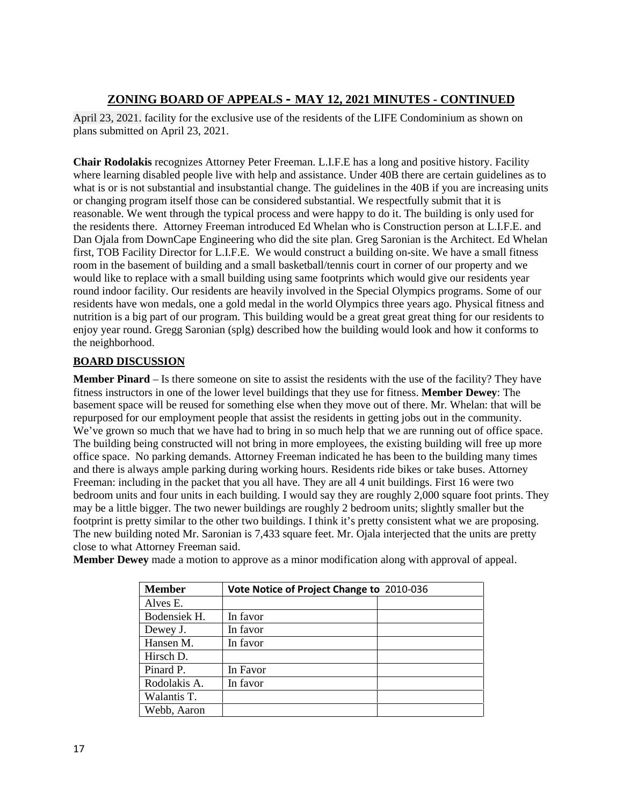April 23, 2021. facility for the exclusive use of the residents of the LIFE Condominium as shown on plans submitted on April 23, 2021.

**Chair Rodolakis** recognizes Attorney Peter Freeman. L.I.F.E has a long and positive history. Facility where learning disabled people live with help and assistance. Under 40B there are certain guidelines as to what is or is not substantial and insubstantial change. The guidelines in the 40B if you are increasing units or changing program itself those can be considered substantial. We respectfully submit that it is reasonable. We went through the typical process and were happy to do it. The building is only used for the residents there. Attorney Freeman introduced Ed Whelan who is Construction person at L.I.F.E. and Dan Ojala from DownCape Engineering who did the site plan. Greg Saronian is the Architect. Ed Whelan first, TOB Facility Director for L.I.F.E. We would construct a building on-site. We have a small fitness room in the basement of building and a small basketball/tennis court in corner of our property and we would like to replace with a small building using same footprints which would give our residents year round indoor facility. Our residents are heavily involved in the Special Olympics programs. Some of our residents have won medals, one a gold medal in the world Olympics three years ago. Physical fitness and nutrition is a big part of our program. This building would be a great great great thing for our residents to enjoy year round. Gregg Saronian (splg) described how the building would look and how it conforms to the neighborhood.

# **BOARD DISCUSSION**

**Member Pinard** – Is there someone on site to assist the residents with the use of the facility? They have fitness instructors in one of the lower level buildings that they use for fitness. **Member Dewey**: The basement space will be reused for something else when they move out of there. Mr. Whelan: that will be repurposed for our employment people that assist the residents in getting jobs out in the community. We've grown so much that we have had to bring in so much help that we are running out of office space. The building being constructed will not bring in more employees, the existing building will free up more office space. No parking demands. Attorney Freeman indicated he has been to the building many times and there is always ample parking during working hours. Residents ride bikes or take buses. Attorney Freeman: including in the packet that you all have. They are all 4 unit buildings. First 16 were two bedroom units and four units in each building. I would say they are roughly 2,000 square foot prints. They may be a little bigger. The two newer buildings are roughly 2 bedroom units; slightly smaller but the footprint is pretty similar to the other two buildings. I think it's pretty consistent what we are proposing. The new building noted Mr. Saronian is 7,433 square feet. Mr. Ojala interjected that the units are pretty close to what Attorney Freeman said.

**Member Dewey** made a motion to approve as a minor modification along with approval of appeal.

| <b>Member</b> | Vote Notice of Project Change to 2010-036 |  |
|---------------|-------------------------------------------|--|
| Alves E.      |                                           |  |
| Bodensiek H.  | In favor                                  |  |
| Dewey J.      | In favor                                  |  |
| Hansen M.     | In favor                                  |  |
| Hirsch D.     |                                           |  |
| Pinard P.     | In Favor                                  |  |
| Rodolakis A.  | In favor                                  |  |
| Walantis T.   |                                           |  |
| Webb, Aaron   |                                           |  |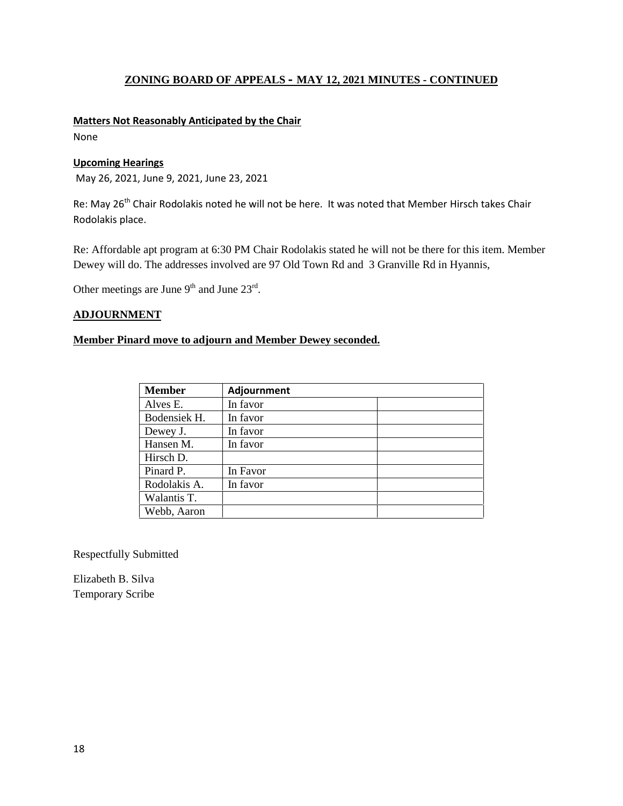### **Matters Not Reasonably Anticipated by the Chair**

None

### **Upcoming Hearings**

May 26, 2021, June 9, 2021, June 23, 2021

Re: May 26<sup>th</sup> Chair Rodolakis noted he will not be here. It was noted that Member Hirsch takes Chair Rodolakis place.

Re: Affordable apt program at 6:30 PM Chair Rodolakis stated he will not be there for this item. Member Dewey will do. The addresses involved are 97 Old Town Rd and 3 Granville Rd in Hyannis,

Other meetings are June  $9<sup>th</sup>$  and June  $23<sup>rd</sup>$ .

# **ADJOURNMENT**

# **Member Pinard move to adjourn and Member Dewey seconded.**

| <b>Member</b> | Adjournment |
|---------------|-------------|
| Alves E.      | In favor    |
| Bodensiek H.  | In favor    |
| Dewey J.      | In favor    |
| Hansen M.     | In favor    |
| Hirsch D.     |             |
| Pinard P.     | In Favor    |
| Rodolakis A.  | In favor    |
| Walantis T.   |             |
| Webb, Aaron   |             |

Respectfully Submitted

Elizabeth B. Silva Temporary Scribe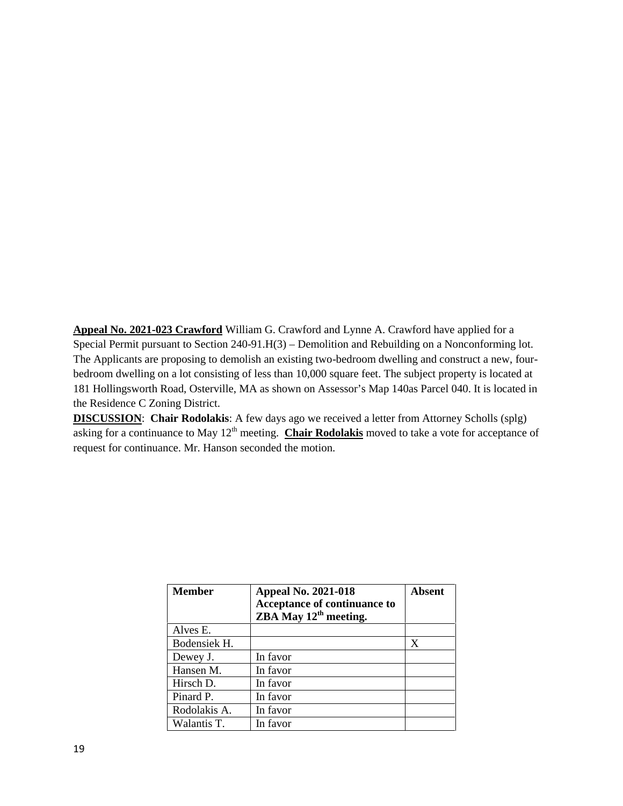**Appeal No. 2021-023 Crawford** William G. Crawford and Lynne A. Crawford have applied for a Special Permit pursuant to Section 240-91.H(3) – Demolition and Rebuilding on a Nonconforming lot. The Applicants are proposing to demolish an existing two-bedroom dwelling and construct a new, four bedroom dwelling on a lot consisting of less than 10,000 square feet. The subject property is located at 181 Hollingsworth Road, Osterville, MA as shown on Assessor's Map 140as Parcel 040. It is located in the Residence C Zoning District.

**DISCUSSION**: **Chair Rodolakis**: A few days ago we received a letter from Attorney Scholls (splg) asking for a continuance to May 12<sup>th</sup> meeting. **Chair Rodolakis** moved to take a vote for acceptance of request for continuance. Mr. Hanson seconded the motion.

| <b>Member</b> | <b>Appeal No. 2021-018</b><br>Acceptance of continuance to<br>ZBA May 12 <sup>th</sup> meeting. | Absent |
|---------------|-------------------------------------------------------------------------------------------------|--------|
| Alves E.      |                                                                                                 |        |
| Bodensiek H.  |                                                                                                 | X      |
| Dewey J.      | In favor                                                                                        |        |
| Hansen M.     | In favor                                                                                        |        |
| Hirsch D.     | In favor                                                                                        |        |
| Pinard P.     | In favor                                                                                        |        |
| Rodolakis A.  | In favor                                                                                        |        |
| Walantis T.   | In favor                                                                                        |        |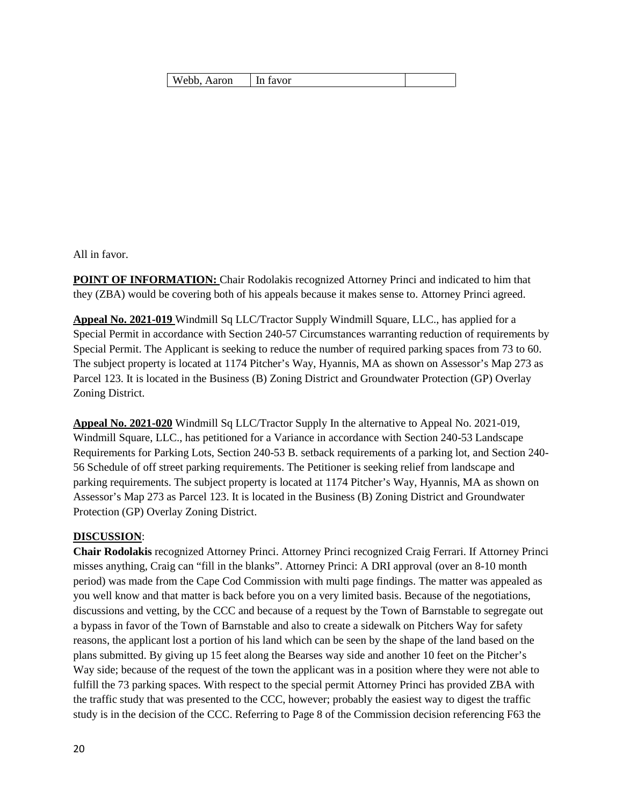| Webb, Aaron | 'In favor |  |
|-------------|-----------|--|
|-------------|-----------|--|

All in favor.

**POINT OF INFORMATION:** Chair Rodolakis recognized Attorney Princi and indicated to him that they (ZBA) would be covering both of his appeals because it makes sense to. Attorney Princi agreed.

**Appeal No. 2021-019** Windmill Sq LLC/Tractor Supply Windmill Square, LLC., has applied for a Special Permit in accordance with Section 240-57 Circumstances warranting reduction of requirements by Special Permit. The Applicant is seeking to reduce the number of required parking spaces from 73 to 60. The subject property is located at 1174 Pitcher's Way, Hyannis, MA as shown on Assessor's Map 273 as Parcel 123. It is located in the Business (B) Zoning District and Groundwater Protection (GP) Overlay Zoning District.

**Appeal No. 2021-020** Windmill Sq LLC/Tractor Supply In the alternative to Appeal No. 2021-019, Windmill Square, LLC., has petitioned for a Variance in accordance with Section 240-53 Landscape Requirements for Parking Lots, Section 240-53 B. setback requirements of a parking lot, and Section 240- 56 Schedule of off street parking requirements. The Petitioner is seeking relief from landscape and parking requirements. The subject property is located at 1174 Pitcher's Way, Hyannis, MA as shown on Assessor's Map 273 as Parcel 123. It is located in the Business (B) Zoning District and Groundwater Protection (GP) Overlay Zoning District.

### **DISCUSSION**:

**Chair Rodolakis** recognized Attorney Princi. Attorney Princi recognized Craig Ferrari. If Attorney Princi misses anything, Craig can "fill in the blanks". Attorney Princi: A DRI approval (over an 8-10 month period) was made from the Cape Cod Commission with multi page findings. The matter was appealed as you well know and that matter is back before you on a very limited basis. Because of the negotiations, discussions and vetting, by the CCC and because of a request by the Town of Barnstable to segregate out a bypass in favor of the Town of Barnstable and also to create a sidewalk on Pitchers Way for safety reasons, the applicant lost a portion of his land which can be seen by the shape of the land based on the plans submitted. By giving up 15 feet along the Bearses way side and another 10 feet on the Pitcher's Way side; because of the request of the town the applicant was in a position where they were not able to fulfill the 73 parking spaces. With respect to the special permit Attorney Princi has provided ZBA with the traffic study that was presented to the CCC, however; probably the easiest way to digest the traffic study is in the decision of the CCC. Referring to Page 8 of the Commission decision referencing F63 the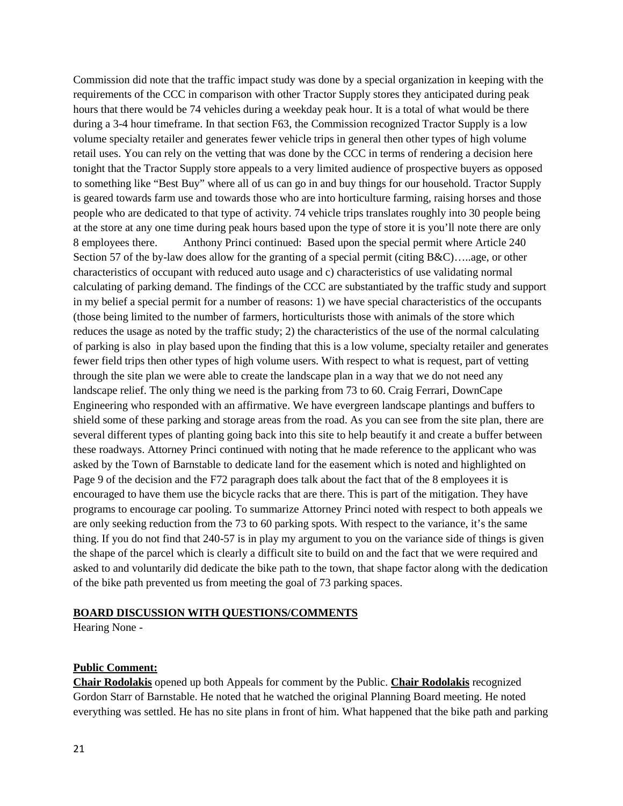Commission did note that the traffic impact study was done by a special organization in keeping with the requirements of the CCC in comparison with other Tractor Supply stores they anticipated during peak hours that there would be 74 vehicles during a weekday peak hour. It is a total of what would be there during a 3-4 hour timeframe. In that section F63, the Commission recognized Tractor Supply is a low volume specialty retailer and generates fewer vehicle trips in general then other types of high volume retail uses. You can rely on the vetting that was done by the CCC in terms of rendering a decision here tonight that the Tractor Supply store appeals to a very limited audience of prospective buyers as opposed to something like "Best Buy" where all of us can go in and buy things for our household. Tractor Supply is geared towards farm use and towards those who are into horticulture farming, raising horses and those people who are dedicated to that type of activity. 74 vehicle trips translates roughly into 30 people being at the store at any one time during peak hours based upon the type of store it is you'll note there are only 8 employees there. Anthony Princi continued: Based upon the special permit where Article 240 Section 57 of the by-law does allow for the granting of a special permit (citing B&C)…..age, or other characteristics of occupant with reduced auto usage and c) characteristics of use validating normal calculating of parking demand. The findings of the CCC are substantiated by the traffic study and support in my belief a special permit for a number of reasons: 1) we have special characteristics of the occupants (those being limited to the number of farmers, horticulturists those with animals of the store which reduces the usage as noted by the traffic study; 2) the characteristics of the use of the normal calculating of parking is also in play based upon the finding that this is a low volume, specialty retailer and generates fewer field trips then other types of high volume users. With respect to what is request, part of vetting through the site plan we were able to create the landscape plan in a way that we do not need any landscape relief. The only thing we need is the parking from 73 to 60. Craig Ferrari, DownCape Engineering who responded with an affirmative. We have evergreen landscape plantings and buffers to shield some of these parking and storage areas from the road. As you can see from the site plan, there are several different types of planting going back into this site to help beautify it and create a buffer between these roadways. Attorney Princi continued with noting that he made reference to the applicant who was asked by the Town of Barnstable to dedicate land for the easement which is noted and highlighted on Page 9 of the decision and the F72 paragraph does talk about the fact that of the 8 employees it is encouraged to have them use the bicycle racks that are there. This is part of the mitigation. They have programs to encourage car pooling. To summarize Attorney Princi noted with respect to both appeals we are only seeking reduction from the 73 to 60 parking spots. With respect to the variance, it's the same thing. If you do not find that 240-57 is in play my argument to you on the variance side of things is given the shape of the parcel which is clearly a difficult site to build on and the fact that we were required and asked to and voluntarily did dedicate the bike path to the town, that shape factor along with the dedication of the bike path prevented us from meeting the goal of 73 parking spaces.

#### **BOARD DISCUSSION WITH QUESTIONS/COMMENTS**

Hearing None -

#### **Public Comment:**

**Chair Rodolakis** opened up both Appeals for comment by the Public. **Chair Rodolakis** recognized Gordon Starr of Barnstable. He noted that he watched the original Planning Board meeting. He noted everything was settled. He has no site plans in front of him. What happened that the bike path and parking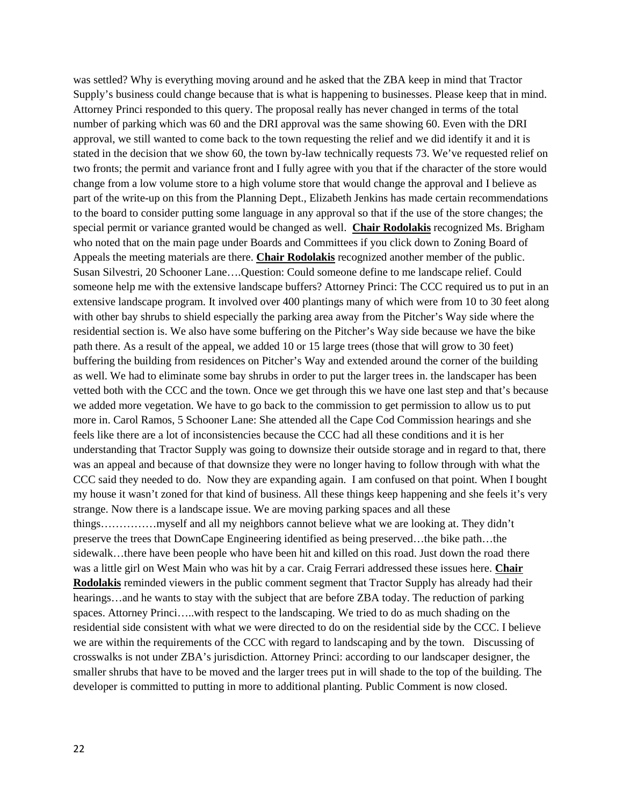was settled? Why is everything moving around and he asked that the ZBA keep in mind that Tractor Supply's business could change because that is what is happening to businesses. Please keep that in mind. Attorney Princi responded to this query. The proposal really has never changed in terms of the total number of parking which was 60 and the DRI approval was the same showing 60. Even with the DRI approval, we still wanted to come back to the town requesting the relief and we did identify it and it is stated in the decision that we show 60, the town by-law technically requests 73. We've requested relief on two fronts; the permit and variance front and I fully agree with you that if the character of the store would change from a low volume store to a high volume store that would change the approval and I believe as part of the write-up on this from the Planning Dept., Elizabeth Jenkins has made certain recommendations to the board to consider putting some language in any approval so that if the use of the store changes; the special permit or variance granted would be changed as well. **Chair Rodolakis** recognized Ms. Brigham who noted that on the main page under Boards and Committees if you click down to Zoning Board of Appeals the meeting materials are there. **Chair Rodolakis** recognized another member of the public. Susan Silvestri, 20 Schooner Lane….Question: Could someone define to me landscape relief. Could someone help me with the extensive landscape buffers? Attorney Princi: The CCC required us to put in an extensive landscape program. It involved over 400 plantings many of which were from 10 to 30 feet along with other bay shrubs to shield especially the parking area away from the Pitcher's Way side where the residential section is. We also have some buffering on the Pitcher's Way side because we have the bike path there. As a result of the appeal, we added 10 or 15 large trees (those that will grow to 30 feet) buffering the building from residences on Pitcher's Way and extended around the corner of the building as well. We had to eliminate some bay shrubs in order to put the larger trees in. the landscaper has been vetted both with the CCC and the town. Once we get through this we have one last step and that's because we added more vegetation. We have to go back to the commission to get permission to allow us to put more in. Carol Ramos, 5 Schooner Lane: She attended all the Cape Cod Commission hearings and she feels like there are a lot of inconsistencies because the CCC had all these conditions and it is her understanding that Tractor Supply was going to downsize their outside storage and in regard to that, there was an appeal and because of that downsize they were no longer having to follow through with what the CCC said they needed to do. Now they are expanding again. I am confused on that point. When I bought my house it wasn't zoned for that kind of business. All these things keep happening and she feels it's very strange. Now there is a landscape issue. We are moving parking spaces and all these things……………myself and all my neighbors cannot believe what we are looking at. They didn't preserve the trees that DownCape Engineering identified as being preserved…the bike path…the sidewalk…there have been people who have been hit and killed on this road. Just down the road there was a little girl on West Main who was hit by a car. Craig Ferrari addressed these issues here. **Chair Rodolakis** reminded viewers in the public comment segment that Tractor Supply has already had their hearings...and he wants to stay with the subject that are before ZBA today. The reduction of parking spaces. Attorney Princi…..with respect to the landscaping. We tried to do as much shading on the residential side consistent with what we were directed to do on the residential side by the CCC. I believe we are within the requirements of the CCC with regard to landscaping and by the town. Discussing of crosswalks is not under ZBA's jurisdiction. Attorney Princi: according to our landscaper designer, the smaller shrubs that have to be moved and the larger trees put in will shade to the top of the building. The developer is committed to putting in more to additional planting. Public Comment is now closed.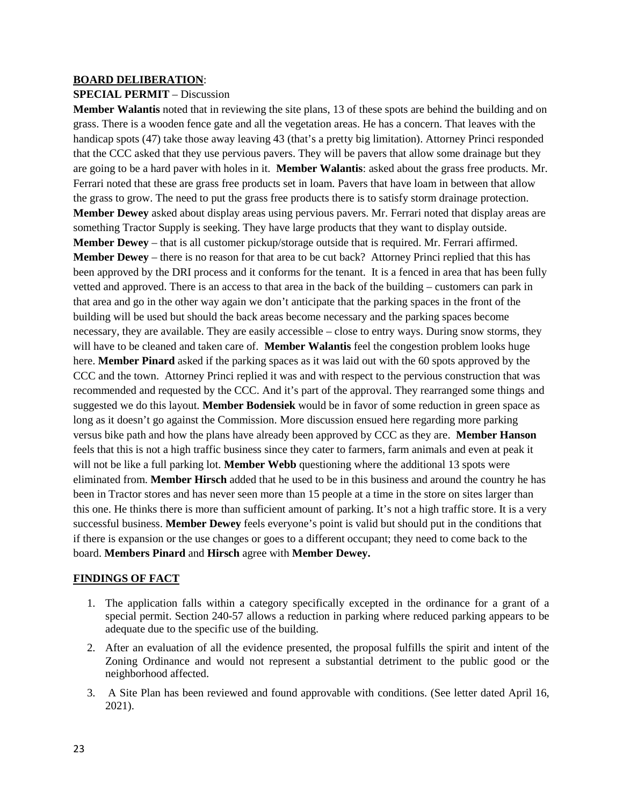#### **BOARD DELIBERATION**:

### **SPECIAL PERMIT** – Discussion

**Member Walantis** noted that in reviewing the site plans, 13 of these spots are behind the building and on grass. There is a wooden fence gate and all the vegetation areas. He has a concern. That leaves with the handicap spots (47) take those away leaving 43 (that's a pretty big limitation). Attorney Princi responded that the CCC asked that they use pervious pavers. They will be pavers that allow some drainage but they are going to be a hard paver with holes in it. **Member Walantis**: asked about the grass free products. Mr. Ferrari noted that these are grass free products set in loam. Pavers that have loam in between that allow the grass to grow. The need to put the grass free products there is to satisfy storm drainage protection. **Member Dewey** asked about display areas using pervious pavers. Mr. Ferrari noted that display areas are something Tractor Supply is seeking. They have large products that they want to display outside. **Member Dewey** – that is all customer pickup/storage outside that is required. Mr. Ferrari affirmed. **Member Dewey** – there is no reason for that area to be cut back? Attorney Princi replied that this has been approved by the DRI process and it conforms for the tenant. It is a fenced in area that has been fully vetted and approved. There is an access to that area in the back of the building – customers can park in that area and go in the other way again we don't anticipate that the parking spaces in the front of the building will be used but should the back areas become necessary and the parking spaces become necessary, they are available. They are easily accessible – close to entry ways. During snow storms, they will have to be cleaned and taken care of. **Member Walantis** feel the congestion problem looks huge here. **Member Pinard** asked if the parking spaces as it was laid out with the 60 spots approved by the CCC and the town. Attorney Princi replied it was and with respect to the pervious construction that was recommended and requested by the CCC. And it's part of the approval. They rearranged some things and suggested we do this layout. **Member Bodensiek** would be in favor of some reduction in green space as long as it doesn't go against the Commission. More discussion ensued here regarding more parking versus bike path and how the plans have already been approved by CCC as they are. **Member Hanson** feels that this is not a high traffic business since they cater to farmers, farm animals and even at peak it will not be like a full parking lot. **Member Webb** questioning where the additional 13 spots were eliminated from. **Member Hirsch** added that he used to be in this business and around the country he has been in Tractor stores and has never seen more than 15 people at a time in the store on sites larger than this one. He thinks there is more than sufficient amount of parking. It's not a high traffic store. It is a very successful business. **Member Dewey** feels everyone's point is valid but should put in the conditions that if there is expansion or the use changes or goes to a different occupant; they need to come back to the board. **Members Pinard** and **Hirsch** agree with **Member Dewey.**

### **FINDINGS OF FACT**

- 1. The application falls within a category specifically excepted in the ordinance for a grant of a special permit. Section 240-57 allows a reduction in parking where reduced parking appears to be adequate due to the specific use of the building.
- 2. After an evaluation of all the evidence presented, the proposal fulfills the spirit and intent of the Zoning Ordinance and would not represent a substantial detriment to the public good or the neighborhood affected.
- 3. A Site Plan has been reviewed and found approvable with conditions. (See letter dated April 16, 2021).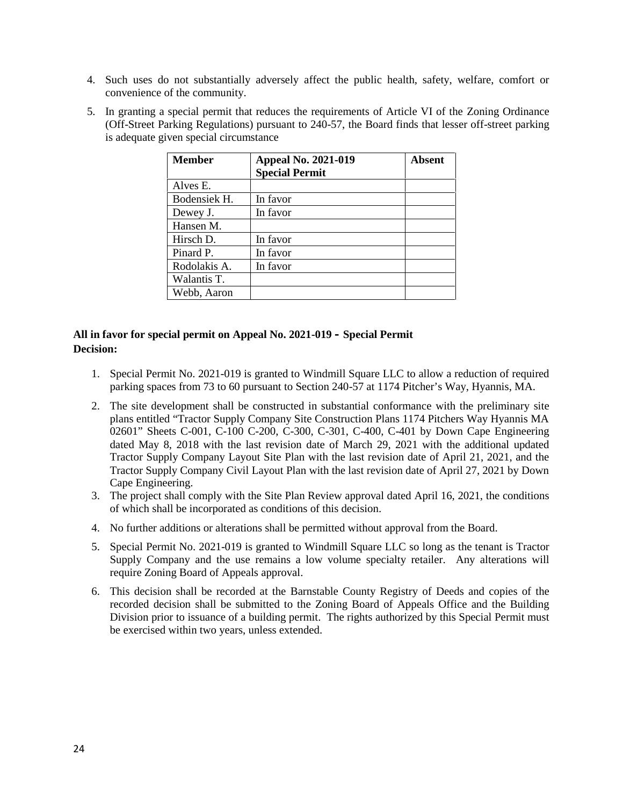- 4. Such uses do not substantially adversely affect the public health, safety, welfare, comfort or convenience of the community.
- 5. In granting a special permit that reduces the requirements of Article VI of the Zoning Ordinance (Off-Street Parking Regulations) pursuant to 240-57, the Board finds that lesser off-street parking is adequate given special circumstance

| <b>Member</b> | <b>Appeal No. 2021-019</b> | Absent |
|---------------|----------------------------|--------|
|               | <b>Special Permit</b>      |        |
| Alves E.      |                            |        |
| Bodensiek H.  | In favor                   |        |
| Dewey J.      | In favor                   |        |
| Hansen M.     |                            |        |
| Hirsch D.     | In favor                   |        |
| Pinard P.     | In favor                   |        |
| Rodolakis A.  | In favor                   |        |
| Walantis T.   |                            |        |
| Webb, Aaron   |                            |        |

# **All in favor for special permit on Appeal No. 2021-019 – Special Permit Decision:**

- 1. Special Permit No. 2021-019 is granted to Windmill Square LLC to allow a reduction of required parking spaces from 73 to 60 pursuant to Section 240-57 at 1174 Pitcher's Way, Hyannis, MA.
- 2. The site development shall be constructed in substantial conformance with the preliminary site plans entitled "Tractor Supply Company Site Construction Plans 1174 Pitchers Way Hyannis MA 02601" Sheets C-001, C-100 C-200, C-300, C-301, C-400, C-401 by Down Cape Engineering dated May 8, 2018 with the last revision date of March 29, 2021 with the additional updated Tractor Supply Company Layout Site Plan with the last revision date of April 21, 2021, and the Tractor Supply Company Civil Layout Plan with the last revision date of April 27, 2021 by Down Cape Engineering.
- 3. The project shall comply with the Site Plan Review approval dated April 16, 2021, the conditions of which shall be incorporated as conditions of this decision.
- 4. No further additions or alterations shall be permitted without approval from the Board.
- 5. Special Permit No. 2021-019 is granted to Windmill Square LLC so long as the tenant is Tractor Supply Company and the use remains a low volume specialty retailer. Any alterations will require Zoning Board of Appeals approval.
- 6. This decision shall be recorded at the Barnstable County Registry of Deeds and copies of the recorded decision shall be submitted to the Zoning Board of Appeals Office and the Building Division prior to issuance of a building permit. The rights authorized by this Special Permit must be exercised within two years, unless extended.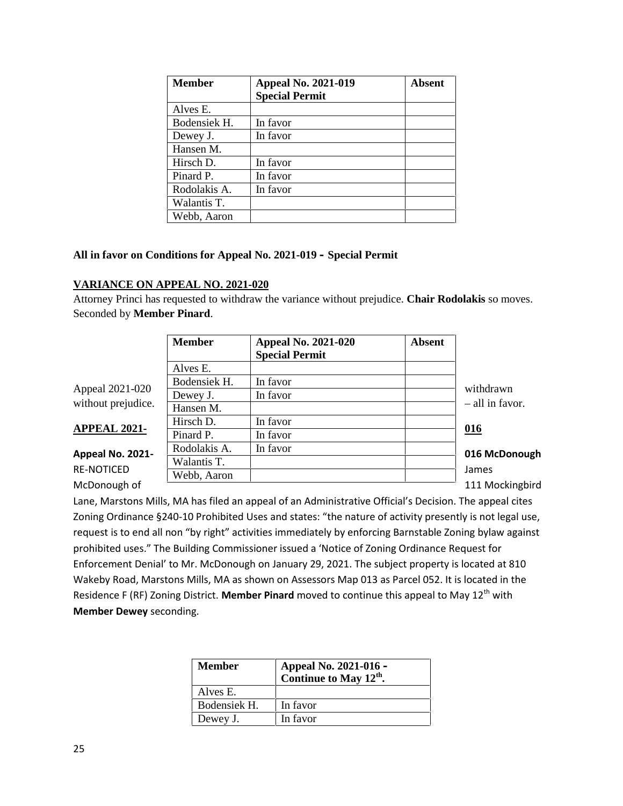| <b>Member</b> | <b>Appeal No. 2021-019</b> | <b>Absent</b> |
|---------------|----------------------------|---------------|
|               | <b>Special Permit</b>      |               |
| Alves E.      |                            |               |
| Bodensiek H.  | In favor                   |               |
| Dewey J.      | In favor                   |               |
| Hansen M.     |                            |               |
| Hirsch D.     | In favor                   |               |
| Pinard P.     | In favor                   |               |
| Rodolakis A.  | In favor                   |               |
| Walantis T.   |                            |               |
| Webb, Aaron   |                            |               |

# **All in favor on Conditions for Appeal No. 2021-019 – Special Permit**

### **VARIANCE ON APPEAL NO. 2021-020**

Attorney Princi has requested to withdraw the variance without prejudice. **Chair Rodolakis** so moves. Seconded by **Member Pinard**.

|                     | <b>Member</b> | <b>Appeal No. 2021-020</b><br><b>Special Permit</b> | <b>Absent</b> |                   |
|---------------------|---------------|-----------------------------------------------------|---------------|-------------------|
|                     | Alves E.      |                                                     |               |                   |
|                     | Bodensiek H.  | In favor                                            |               |                   |
| Appeal 2021-020     | Dewey J.      | In favor                                            |               | withdrawn         |
| without prejudice.  | Hansen M.     |                                                     |               | $-$ all in favor. |
| <b>APPEAL 2021-</b> | Hirsch D.     | In favor                                            |               | 016               |
|                     | Pinard P.     | In favor                                            |               |                   |
| Appeal No. 2021-    | Rodolakis A.  | In favor                                            |               | 016 McDonough     |
|                     | Walantis T.   |                                                     |               |                   |
| <b>RE-NOTICED</b>   | Webb, Aaron   |                                                     |               | James             |
| McDonough of        |               |                                                     |               | 111 Mockingbird   |

### **APPEAL 2021- 016**

# **Appeal No. 2021** RE-NOTICED

Lane, Marstons Mills, MA has filed an appeal of an Administrative Official's Decision. The appeal cites Zoning Ordinance §240-10 Prohibited Uses and states: "the nature of activity presently is not legal use, request is to end all non "by right" activities immediately by enforcing Barnstable Zoning bylaw against prohibited uses." The Building Commissioner issued a 'Notice of Zoning Ordinance Request for Enforcement Denial' to Mr. McDonough on January 29, 2021. The subject property is located at 810 Wakeby Road, Marstons Mills, MA as shown on Assessors Map 013 as Parcel 052. It is located in the Residence F (RF) Zoning District. Member Pinard moved to continue this appeal to May 12<sup>th</sup> with **Member Dewey** seconding.

| <b>Member</b> | Appeal No. 2021-016 -<br>Continue to May 12 <sup>th</sup> . |
|---------------|-------------------------------------------------------------|
| Alves E.      |                                                             |
| Bodensiek H.  | In favor                                                    |
| Dewey J.      | In favor                                                    |